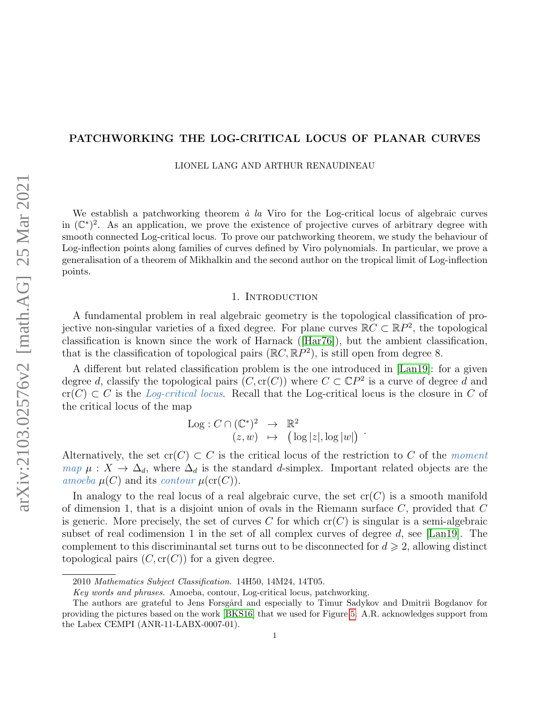## PATCHWORKING THE LOG-CRITICAL LOCUS OF PLANAR CURVES

LIONEL LANG AND ARTHUR RENAUDINEAU

We establish a patchworking theorem  $\dot{a}$  la Viro for the Log-critical locus of algebraic curves in  $(\mathbb{C}^*)^2$ . As an application, we prove the existence of projective curves of arbitrary degree with smooth connected Log-critical locus. To prove our patchworking theorem, we study the behaviour of Log-inflection points along families of curves defined by Viro polynomials. In particular, we prove a generalisation of a theorem of Mikhalkin and the second author on the tropical limit of Log-inflection points.

## 1. INTRODUCTION

<span id="page-0-0"></span>A fundamental problem in real algebraic geometry is the topological classification of projective non-singular varieties of a fixed degree. For plane curves  $\mathbb{R}C \subset \mathbb{R}P^2$ , the topological classification is known since the work of Harnack([\[Har76\]](#page-29-0)), but the ambient classification, that is the classification of topological pairs  $(\mathbb{R}C, \mathbb{R}P^2)$ , is still open from degree 8.

A different but related classification problem is the one introduced in [\[Lan19\]](#page-29-1): for a given degree d, classify the topological pairs  $(C, cr(C))$  where  $C \subset \mathbb{C}P^2$  is a curve of degree d and  $cr(C) \subset C$  is the Log-critical locus. Recall that the Log-critical locus is the closure in C of the critical locus of the map

$$
Log: C \cap (\mathbb{C}^*)^2 \rightarrow \mathbb{R}^2
$$
  

$$
(z, w) \mapsto (log |z|, log |w|)
$$

Alternatively, the set  $cr(C) \subset C$  is the critical locus of the restriction to C of the moment map  $\mu: X \to \Delta_d$ , where  $\Delta_d$  is the standard d-simplex. Important related objects are the amoeba  $\mu(C)$  and its contour  $\mu(\text{cr}(C))$ .

In analogy to the real locus of a real algebraic curve, the set  $cr(C)$  is a smooth manifold of dimension 1, that is a disjoint union of ovals in the Riemann surface  $C$ , provided that  $C$ is generic. More precisely, the set of curves C for which  $cr(C)$  is singular is a semi-algebraic subset of real codimension 1 in the set of all complex curves of degree  $d$ , see [\[Lan19\]](#page-29-1). The complement to this discriminantal set turns out to be disconnected for  $d \geq 2$ , allowing distinct topological pairs  $(C, cr(C))$  for a given degree.

<sup>2010</sup> Mathematics Subject Classification. 14H50, 14M24, 14T05.

Key words and phrases. Amoeba, contour, Log-critical locus, patchworking.

The authors are grateful to Jens Forsgård and especially to Timur Sadykov and Dmitrii Bogdanov for providing the pictures based on the work [\[BKS16\]](#page-29-2) that we used for Figure [5.](#page-5-0) A.R. acknowledges support from the Labex CEMPI (ANR-11-LABX-0007-01).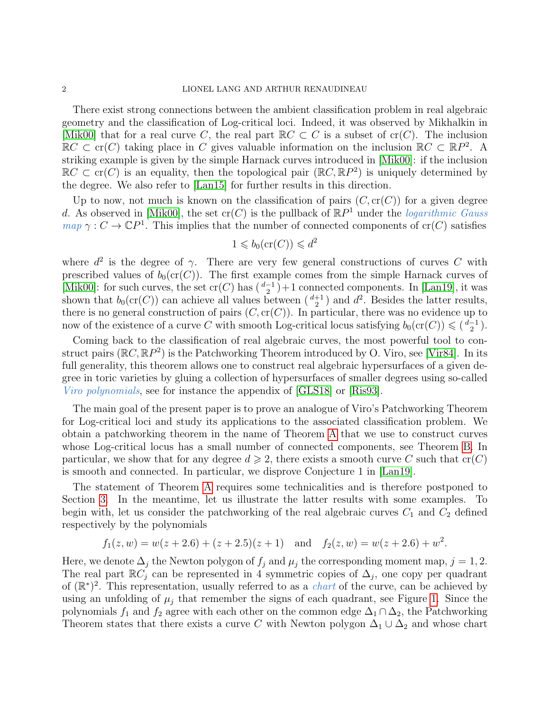## 2 LIONEL LANG AND ARTHUR RENAUDINEAU

There exist strong connections between the ambient classification problem in real algebraic geometry and the classification of Log-critical loci. Indeed, it was observed by Mikhalkin in [\[Mik00\]](#page-29-3) that for a real curve C, the real part  $\mathbb{R}C\subset C$  is a subset of cr(C). The inclusion  $\mathbb{R}C \subset \text{cr}(C)$  taking place in C gives valuable information on the inclusion  $\mathbb{R}C \subset \mathbb{R}P^2$ . A striking example is given by the simple Harnack curves introduced in [\[Mik00\]](#page-29-3): if the inclusion  $\mathbb{R}C \subset \text{cr}(C)$  is an equality, then the topological pair  $(\mathbb{R}C, \mathbb{R}P^2)$  is uniquely determined by the degree. We also refer to [\[Lan15\]](#page-29-4) for further results in this direction.

Up to now, not much is known on the classification of pairs  $(C, cr(C))$  for a given degree d. As observed in [\[Mik00\]](#page-29-3), the set  $cr(C)$  is the pullback of  $\mathbb{R}P<sup>1</sup>$  under the *logarithmic Gauss*  $map \gamma : C \to \mathbb{C}P^1$ . This implies that the number of connected components of cr(C) satisfies

$$
1 \leqslant b_0(\operatorname{cr}(C)) \leqslant d^2
$$

where  $d^2$  is the degree of  $\gamma$ . There are very few general constructions of curves C with prescribed values of  $b_0(\text{cr}(C))$ . The first example comes from the simple Harnack curves of [\[Mik00\]](#page-29-3): for such curves, the set  $\mathrm{cr}(C)$  has  $\left(\frac{d-1}{2}\right)+1$  connected components. In [\[Lan19\]](#page-29-1), it was shown that  $b_0(\text{cr}(C))$  can achieve all values between  $\binom{d+1}{2}$  and  $d^2$ . Besides the latter results, there is no general construction of pairs  $(C, cr(C))$ . In particular, there was no evidence up to now of the existence of a curve C with smooth Log-critical locus satisfying  $b_0(\text{cr}(C)) \leq (d-1)$ .

Coming back to the classification of real algebraic curves, the most powerful tool to construct pairs  $(\mathbb{R}C, \mathbb{R}P^2)$  is the Patchworking Theorem introduced by O. Viro, see [\[Vir84\]](#page-29-5). In its full generality, this theorem allows one to construct real algebraic hypersurfaces of a given degree in toric varieties by gluing a collection of hypersurfaces of smaller degrees using so-called Viro polynomials, see for instance the appendix of [\[GLS18\]](#page-29-6) or [\[Ris93\]](#page-29-7).

The main goal of the present paper is to prove an analogue of Viro's Patchworking Theorem for Log-critical loci and study its applications to the associated classification problem. We obtain a patchworking theorem in the name of Theorem [A](#page-10-0) that we use to construct curves whose Log-critical locus has a small number of connected components, see Theorem [B.](#page-10-1) In particular, we show that for any degree  $d \geq 2$ , there exists a smooth curve C such that  $cr(C)$ is smooth and connected. In particular, we disprove Conjecture 1 in [\[Lan19\]](#page-29-1).

The statement of Theorem [A](#page-10-0) requires some technicalities and is therefore postponed to Section [3.](#page-10-2) In the meantime, let us illustrate the latter results with some examples. To begin with, let us consider the patchworking of the real algebraic curves  $C_1$  and  $C_2$  defined respectively by the polynomials

$$
f_1(z, w) = w(z + 2.6) + (z + 2.5)(z + 1)
$$
 and  $f_2(z, w) = w(z + 2.6) + w^2$ .

Here, we denote  $\Delta_j$  the Newton polygon of  $f_j$  and  $\mu_j$  the corresponding moment map,  $j = 1, 2$ . The real part  $\mathbb{R}C_j$  can be represented in 4 symmetric copies of  $\Delta_j$ , one copy per quadrant of  $(\mathbb{R}^*)^2$ . This representation, usually referred to as a *chart* of the curve, can be achieved by using an unfolding of  $\mu_j$  that remember the signs of each quadrant, see Figure [1.](#page-2-0) Since the polynomials  $f_1$  and  $f_2$  agree with each other on the common edge  $\Delta_1 \cap \Delta_2$ , the Patchworking Theorem states that there exists a curve C with Newton polygon  $\Delta_1 \cup \Delta_2$  and whose chart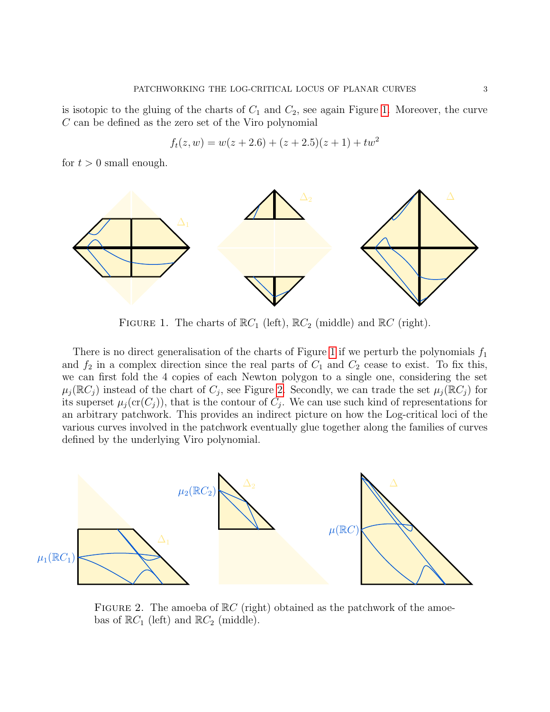is isotopic to the gluing of the charts of  $C_1$  and  $C_2$ , see again Figure [1.](#page-2-0) Moreover, the curve  $C$  can be defined as the zero set of the Viro polynomial

$$
f_t(z, w) = w(z + 2.6) + (z + 2.5)(z + 1) + tw^2
$$

for  $t > 0$  small enough.

<span id="page-2-0"></span>

FIGURE 1. The charts of  $\mathbb{R}C_1$  (left),  $\mathbb{R}C_2$  (middle) and  $\mathbb{R}C$  (right).

There is no direct generalisation of the charts of Figure [1](#page-2-0) if we perturb the polynomials  $f_1$ and  $f_2$  in a complex direction since the real parts of  $C_1$  and  $C_2$  cease to exist. To fix this, we can first fold the 4 copies of each Newton polygon to a single one, considering the set  $\mu_j(\mathbb{R}C_j)$  instead of the chart of  $C_j$ , see Figure [2.](#page-2-1) Secondly, we can trade the set  $\mu_j(\mathbb{R}C_j)$  for its superset  $\mu_j(\mathrm{cr}(C_j))$ , that is the contour of  $C_j$ . We can use such kind of representations for an arbitrary patchwork. This provides an indirect picture on how the Log-critical loci of the various curves involved in the patchwork eventually glue together along the families of curves defined by the underlying Viro polynomial.

<span id="page-2-1"></span>

FIGURE 2. The amoeba of  $\mathbb{R}C$  (right) obtained as the patchwork of the amoebas of  $\mathbb{R}C_1$  (left) and  $\mathbb{R}C_2$  (middle).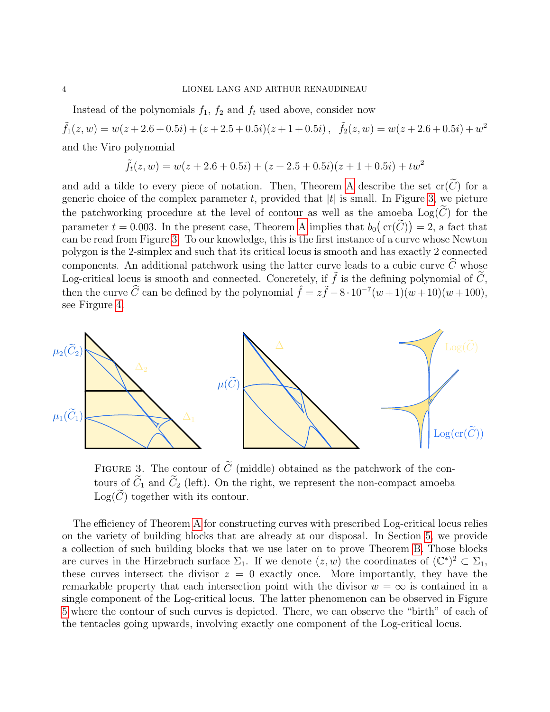Instead of the polynomials  $f_1$ ,  $f_2$  and  $f_t$  used above, consider now

 $\tilde{f}_1(z,w) = w(z+2.6+0.5i) + (z+2.5+0.5i)(z+1+0.5i), \quad \tilde{f}_2(z,w) = w(z+2.6+0.5i) + w^2$ and the Viro polynomial

$$
\tilde{f}_t(z, w) = w(z + 2.6 + 0.5i) + (z + 2.5 + 0.5i)(z + 1 + 0.5i) + tw^2
$$

and add a tilde to every piece of notation. Then, Theorem [A](#page-10-0) describe the set  $\mathrm{cr}(\widetilde{C})$  for a generic choice of the complex parameter t, provided that  $|t|$  is small. In Figure [3,](#page-3-0) we picture the patchworking procedure at the level of contour as well as the amoeba  $Log(C)$  for the parameter  $t = 0.003$ . In the present case, Theorem [A](#page-10-0) implies that  $b_0(\text{cr}(\tilde{C})) = 2$ , a fact that can be read from Figure [3.](#page-3-0) To our knowledge, this is the first instance of a curve whose Newton polygon is the 2-simplex and such that its critical locus is smooth and has exactly 2 connected components. An additional patchwork using the latter curve leads to a cubic curve  $\widehat{C}$  whose Log-critical locus is smooth and connected. Concretely, if  $\tilde{f}$  is the defining polynomial of  $\tilde{C}$ , then the curve  $\widehat{C}$  can be defined by the polynomial  $\widehat{f} = z\widetilde{f} - 8 \cdot 10^{-7}(w+1)(w+10)(w+100)$ , see Firgure [4.](#page-4-0)

<span id="page-3-0"></span>

FIGURE 3. The contour of  $\tilde{C}$  (middle) obtained as the patchwork of the contours of  $\widetilde{C}_1$  and  $\widetilde{C}_2$  (left). On the right, we represent the non-compact amoeba  $Log(\widetilde{C})$  together with its contour.

The efficiency of Theorem [A](#page-10-0) for constructing curves with prescribed Log-critical locus relies on the variety of building blocks that are already at our disposal. In Section [5,](#page-19-0) we provide a collection of such building blocks that we use later on to prove Theorem [B.](#page-10-1) Those blocks are curves in the Hirzebruch surface  $\Sigma_1$ . If we denote  $(z, w)$  the coordinates of  $(\mathbb{C}^*)^2 \subset \Sigma_1$ , these curves intersect the divisor  $z = 0$  exactly once. More importantly, they have the remarkable property that each intersection point with the divisor  $w = \infty$  is contained in a single component of the Log-critical locus. The latter phenomenon can be observed in Figure [5](#page-5-0) where the contour of such curves is depicted. There, we can observe the "birth" of each of the tentacles going upwards, involving exactly one component of the Log-critical locus.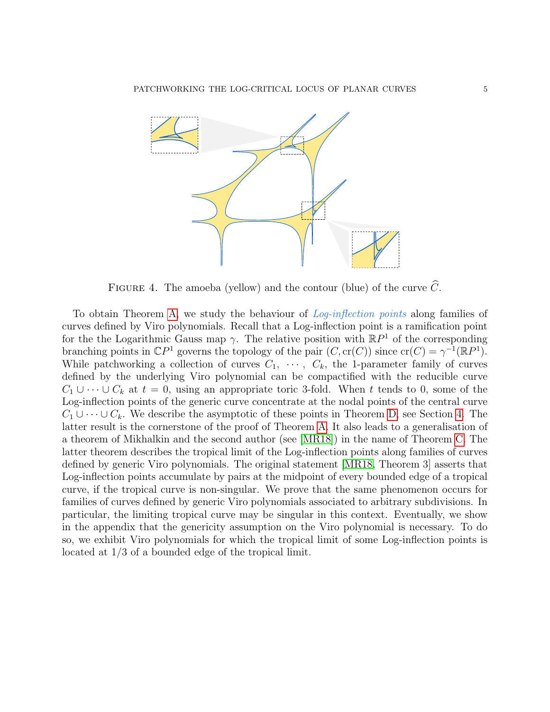<span id="page-4-0"></span>

FIGURE 4. The amoeba (yellow) and the contour (blue) of the curve  $\widehat{C}$ .

To obtain Theorem [A,](#page-10-0) we study the behaviour of *Log-inflection points* along families of curves defined by Viro polynomials. Recall that a Log-inflection point is a ramification point for the the Logarithmic Gauss map  $\gamma$ . The relative position with  $\mathbb{R}P<sup>1</sup>$  of the corresponding branching points in  $\mathbb{C}P^1$  governs the topology of the pair  $(C, \text{cr}(C))$  since  $\text{cr}(C) = \gamma^{-1}(\mathbb{R}P^1)$ . While patchworking a collection of curves  $C_1, \cdots, C_k$ , the 1-parameter family of curves defined by the underlying Viro polynomial can be compactified with the reducible curve  $C_1 \cup \cdots \cup C_k$  at  $t = 0$ , using an appropriate toric 3-fold. When t tends to 0, some of the Log-inflection points of the generic curve concentrate at the nodal points of the central curve  $C_1 \cup \cdots \cup C_k$ . We describe the asymptotic of these points in Theorem [D,](#page-11-0) see Section [4.](#page-11-1) The latter result is the cornerstone of the proof of Theorem [A.](#page-10-0) It also leads to a generalisation of a theorem of Mikhalkin and the second author (see [\[MR18\]](#page-29-8)) in the name of Theorem [C.](#page-10-3) The latter theorem describes the tropical limit of the Log-inflection points along families of curves defined by generic Viro polynomials. The original statement [\[MR18,](#page-29-8) Theorem 3] asserts that Log-inflection points accumulate by pairs at the midpoint of every bounded edge of a tropical curve, if the tropical curve is non-singular. We prove that the same phenomenon occurs for families of curves defined by generic Viro polynomials associated to arbitrary subdivisions. In particular, the limiting tropical curve may be singular in this context. Eventually, we show in the appendix that the genericity assumption on the Viro polynomial is necessary. To do so, we exhibit Viro polynomials for which the tropical limit of some Log-inflection points is located at 1/3 of a bounded edge of the tropical limit.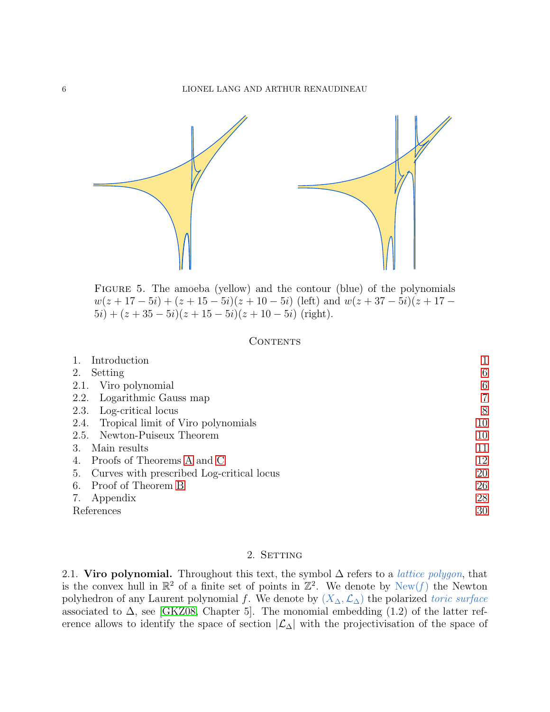<span id="page-5-0"></span>

Figure 5. The amoeba (yellow) and the contour (blue) of the polynomials  $w(z+17-5i) + (z+15-5i)(z+10-5i)$  (left) and  $w(z+37-5i)(z+17-5i)$  $5i) + (z + 35 - 5i)(z + 15 - 5i)(z + 10 - 5i)$  (right).

## **CONTENTS**

| Introduction                                    |    |
|-------------------------------------------------|----|
| Setting<br>2.                                   | 6  |
| Viro polynomial<br>2.1.                         | 6  |
| Logarithmic Gauss map<br>2.2.                   | 7  |
| Log-critical locus<br>2.3.                      | 8  |
| Tropical limit of Viro polynomials<br>2.4.      | 10 |
| 2.5. Newton-Puiseux Theorem                     | 10 |
| Main results<br>3.                              | 11 |
| Proofs of Theorems A and C<br>4.                | 12 |
| Curves with prescribed Log-critical locus<br>5. | 20 |
| Proof of Theorem B<br>6.                        | 26 |
| Appendix<br>7.                                  | 28 |
| References                                      | 30 |

# 2. SETTING

<span id="page-5-2"></span><span id="page-5-1"></span>2.1. Viro polynomial. Throughout this text, the symbol  $\Delta$  refers to a *lattice polygon*, that is the convex hull in  $\mathbb{R}^2$  of a finite set of points in  $\mathbb{Z}^2$ . We denote by  $\text{New}(f)$  the Newton polyhedron of any Laurent polynomial f. We denote by  $(X_\Delta, \mathcal{L}_\Delta)$  the polarized toric surface associated to  $\Delta$ , see [\[GKZ08,](#page-29-10) Chapter 5]. The monomial embedding (1.2) of the latter reference allows to identify the space of section  $|\mathcal{L}_\Delta|$  with the projectivisation of the space of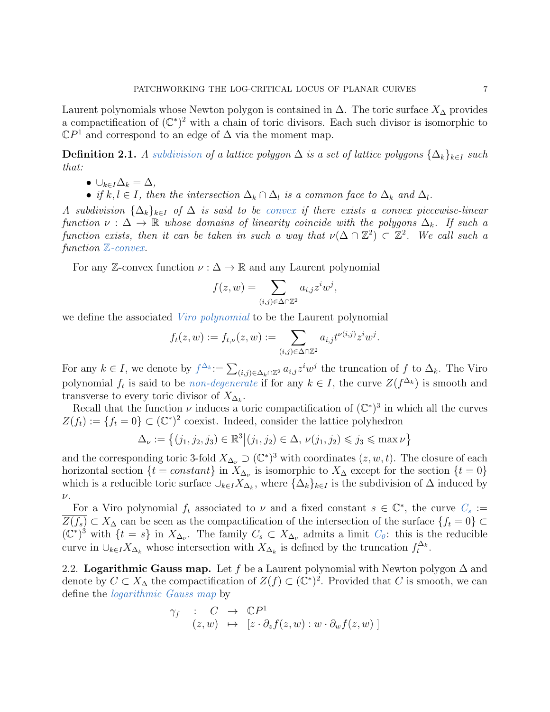Laurent polynomials whose Newton polygon is contained in  $\Delta$ . The toric surface  $X_{\Delta}$  provides a compactification of  $(\mathbb{C}^*)^2$  with a chain of toric divisors. Each such divisor is isomorphic to  $\mathbb{C}P^1$  and correspond to an edge of  $\Delta$  via the moment map.

<span id="page-6-1"></span>**Definition 2.1.** A subdivision of a lattice polygon  $\Delta$  is a set of lattice polygons  $\{\Delta_k\}_{k\in I}$  such that:

- $\cup_{k\in I}\Delta_k=\Delta,$
- if  $k, l \in I$ , then the intersection  $\Delta_k \cap \Delta_l$  is a common face to  $\Delta_k$  and  $\Delta_l$ .

A subdivision  $\{\Delta_k\}_{k\in I}$  of  $\Delta$  is said to be convex if there exists a convex piecewise-linear function  $\nu : \Delta \to \mathbb{R}$  whose domains of linearity coincide with the polygons  $\Delta_k$ . If such a function exists, then it can be taken in such a way that  $\nu(\Delta \cap \mathbb{Z}^2) \subset \mathbb{Z}^2$ . We call such a function  $\mathbb{Z}$ -convex.

For any Z-convex function  $\nu : \Delta \to \mathbb{R}$  and any Laurent polynomial

$$
f(z, w) = \sum_{(i,j)\in\Delta\cap\mathbb{Z}^2} a_{i,j} z^i w^j,
$$

we define the associated *Viro polynomial* to be the Laurent polynomial

$$
f_t(z, w) := f_{t, \nu}(z, w) := \sum_{(i,j) \in \Delta \cap \mathbb{Z}^2} a_{i,j} t^{\nu(i,j)} z^i w^j
$$

.

For any  $k \in I$ , we denote by  $f^{\Delta_k} := \sum_{(i,j) \in \Delta_k \cap \mathbb{Z}^2} a_{i,j} z^i w^j$  the truncation of f to  $\Delta_k$ . The Viro polynomial  $f_t$  is said to be *non-degenerate* if for any  $k \in I$ , the curve  $Z(f^{\Delta_k})$  is smooth and transverse to every toric divisor of  $X_{\Delta_k}$ .

Recall that the function  $\nu$  induces a toric compactification of  $(\mathbb{C}^*)^3$  in which all the curves  $Z(f_t) := \{f_t = 0\} \subset (\mathbb{C}^*)^2$  coexist. Indeed, consider the lattice polyhedron

$$
\Delta_{\nu} := \left\{ (j_1, j_2, j_3) \in \mathbb{R}^3 \middle| (j_1, j_2) \in \Delta, \nu(j_1, j_2) \leq j_3 \leq \max \nu \right\}
$$

and the corresponding toric 3-fold  $X_{\Delta_{\nu}} \supset (\mathbb{C}^*)^3$  with coordinates  $(z, w, t)$ . The closure of each horizontal section  $\{t = constant\}$  in  $X_{\Delta_{\nu}}$  is isomorphic to  $X_{\Delta}$  except for the section  $\{t = 0\}$ which is a reducible toric surface  $\cup_{k\in I} X_{\Delta_k}$ , where  $\{\Delta_k\}_{k\in I}$  is the subdivision of  $\Delta$  induced by  $\nu$ .

For a Viro polynomial  $f_t$  associated to  $\nu$  and a fixed constant  $s \in \mathbb{C}^*$ , the curve  $C_s :=$  $Z(f_s) \subset X_\Delta$  can be seen as the compactification of the intersection of the surface  $\{f_t = 0\} \subset$  $(\mathbb{C}^*)^3$  with  $\{t = s\}$  in  $X_{\Delta_{\nu}}$ . The family  $C_s \subset X_{\Delta_{\nu}}$  admits a limit  $C_0$ : this is the reducible curve in  $\cup_{k\in I} X_{\Delta_k}$  whose intersection with  $X_{\Delta_k}$  is defined by the truncation  $f_t^{\Delta_k}$ .

<span id="page-6-0"></span>2.2. Logarithmic Gauss map. Let f be a Laurent polynomial with Newton polygon  $\Delta$  and denote by  $C \subset X_\Delta$  the compactification of  $Z(f) \subset (\mathbb{C}^*)^2$ . Provided that C is smooth, we can define the logarithmic Gauss map by

$$
\gamma_f : C \to \mathbb{C}P^1
$$
  
(z, w)  $\mapsto [z \cdot \partial_z f(z, w) : w \cdot \partial_w f(z, w)]$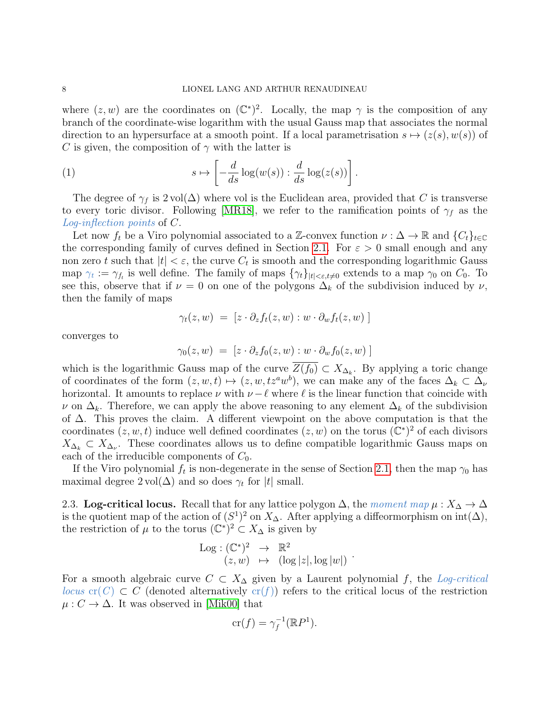where  $(z, w)$  are the coordinates on  $(\mathbb{C}^*)^2$ . Locally, the map  $\gamma$  is the composition of any branch of the coordinate-wise logarithm with the usual Gauss map that associates the normal direction to an hypersurface at a smooth point. If a local parametrisation  $s \mapsto (z(s), w(s))$  of C is given, the composition of  $\gamma$  with the latter is

<span id="page-7-1"></span>(1) 
$$
s \mapsto \left[ -\frac{d}{ds} \log(w(s)) : \frac{d}{ds} \log(z(s)) \right].
$$

The degree of  $\gamma_f$  is 2 vol( $\Delta$ ) where vol is the Euclidean area, provided that C is transverse to every toric divisor. Following [\[MR18\]](#page-29-8), we refer to the ramification points of  $\gamma_f$  as the Log-inflection points of C.

Let now  $f_t$  be a Viro polynomial associated to a Z-convex function  $\nu : \Delta \to \mathbb{R}$  and  $\{C_t\}_{t \in \mathbb{C}}$ the corresponding family of curves defined in Section [2.1.](#page-5-2) For  $\varepsilon > 0$  small enough and any non zero t such that  $|t| < \varepsilon$ , the curve  $C_t$  is smooth and the corresponding logarithmic Gauss map  $\gamma_t := \gamma_{f_t}$  is well define. The family of maps  $\{\gamma_t\}_{|t|<\varepsilon,t\neq 0}$  extends to a map  $\gamma_0$  on  $C_0$ . To see this, observe that if  $\nu = 0$  on one of the polygons  $\Delta_k$  of the subdivision induced by  $\nu$ , then the family of maps

$$
\gamma_t(z,w) = [z \cdot \partial_z f_t(z,w) : w \cdot \partial_w f_t(z,w)]
$$

converges to

$$
\gamma_0(z, w) = [z \cdot \partial_z f_0(z, w) : w \cdot \partial_w f_0(z, w)]
$$

which is the logarithmic Gauss map of the curve  $Z(f_0) \subset X_{\Delta_k}$ . By applying a toric change of coordinates of the form  $(z, w, t) \mapsto (z, w, tz^a w^b)$ , we can make any of the faces  $\Delta_k \subset \Delta_{\nu}$ horizontal. It amounts to replace  $\nu$  with  $\nu - \ell$  where  $\ell$  is the linear function that coincide with  $\nu$  on  $\Delta_k$ . Therefore, we can apply the above reasoning to any element  $\Delta_k$  of the subdivision of ∆. This proves the claim. A different viewpoint on the above computation is that the coordinates  $(z, w, t)$  induce well defined coordinates  $(z, w)$  on the torus  $(\mathbb{C}^*)^2$  of each divisors  $X_{\Delta_k} \subset X_{\Delta_{\nu}}$ . These coordinates allows us to define compatible logarithmic Gauss maps on each of the irreducible components of  $C_0$ .

If the Viro polynomial  $f_t$  is non-degenerate in the sense of Section [2.1,](#page-5-2) then the map  $\gamma_0$  has maximal degree  $2 \text{ vol}(\Delta)$  and so does  $\gamma_t$  for  $|t|$  small.

<span id="page-7-0"></span>2.3. Log-critical locus. Recall that for any lattice polygon  $\Delta$ , the moment map  $\mu: X_{\Delta} \to \Delta$ is the quotient map of the action of  $(S<sup>1</sup>)<sup>2</sup>$  on  $X_{\Delta}$ . After applying a diffeormorphism on  $int(\Delta)$ , the restriction of  $\mu$  to the torus  $(\mathbb{C}^*)^2 \subset X_\Delta$  is given by

$$
\begin{array}{rcl}\n\text{Log} : (\mathbb{C}^*)^2 & \to & \mathbb{R}^2 \\
(z, w) & \mapsto & (\log |z|, \log |w|) \n\end{array}.
$$

For a smooth algebraic curve  $C \subset X_{\Delta}$  given by a Laurent polynomial f, the Log-critical locus cr(C)  $\subset C$  (denoted alternatively cr(f)) refers to the critical locus of the restriction  $\mu: C \to \Delta$ . It was observed in [\[Mik00\]](#page-29-3) that

$$
\mathrm{cr}(f) = \gamma_f^{-1}(\mathbb{R}P^1).
$$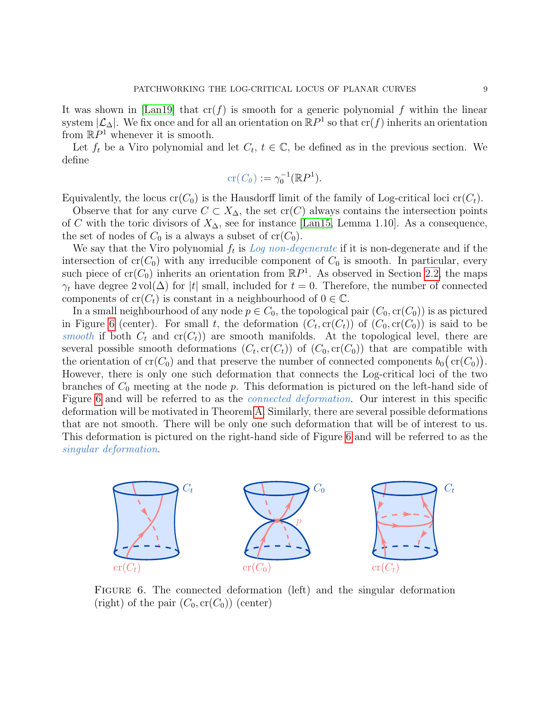It was shown in [\[Lan19\]](#page-29-1) that  $cr(f)$  is smooth for a generic polynomial f within the linear system  $|\mathcal{L}_\Delta|$ . We fix once and for all an orientation on  $\mathbb{R}P^1$  so that  $\text{cr}(f)$  inherits an orientation from  $\mathbb{R}P^1$  whenever it is smooth.

Let  $f_t$  be a Viro polynomial and let  $C_t$ ,  $t \in \mathbb{C}$ , be defined as in the previous section. We define

$$
\operatorname{cr}(C_0) := \gamma_0^{-1}(\mathbb{R}P^1).
$$

Equivalently, the locus  $cr(C_0)$  is the Hausdorff limit of the family of Log-critical loci  $cr(C_t)$ .

Observe that for any curve  $C \subset X_{\Delta}$ , the set  $\text{cr}(C)$  always contains the intersection points of C with the toric divisors of  $X_{\Delta}$ , see for instance [\[Lan15,](#page-29-4) Lemma 1.10]. As a consequence, the set of nodes of  $C_0$  is a always a subset of  $cr(C_0)$ .

We say that the Viro polynomial  $f_t$  is Log non-degenerate if it is non-degenerate and if the intersection of  $cr(C_0)$  with any irreducible component of  $C_0$  is smooth. In particular, every such piece of  $cr(C_0)$  inherits an orientation from  $\mathbb{R}P^1$ . As observed in Section [2.2,](#page-6-0) the maps  $\gamma_t$  have degree 2 vol( $\Delta$ ) for |t| small, included for  $t = 0$ . Therefore, the number of connected components of  $\operatorname{cr}(C_t)$  is constant in a neighbourhood of  $0 \in \mathbb{C}$ .

In a small neighbourhood of any node  $p \in C_0$ , the topological pair  $(C_0, cr(C_0))$  is as pictured in Figure [6](#page-8-0) (center). For small t, the deformation  $(C_t, cr(C_t))$  of  $(C_0, cr(C_0))$  is said to be smooth if both  $C_t$  and  $cr(C_t)$  are smooth manifolds. At the topological level, there are several possible smooth deformations  $(C_t, cr(C_t))$  of  $(C_0, cr(C_0))$  that are compatible with the orientation of  $cr(C_0)$  and that preserve the number of connected components  $b_0(\text{cr}(C_0))$ . However, there is only one such deformation that connects the Log-critical loci of the two branches of  $C_0$  meeting at the node p. This deformation is pictured on the left-hand side of Figure [6](#page-8-0) and will be referred to as the *connected deformation*. Our interest in this specific deformation will be motivated in Theorem [A.](#page-10-0) Similarly, there are several possible deformations that are not smooth. There will be only one such deformation that will be of interest to us. This deformation is pictured on the right-hand side of Figure [6](#page-8-0) and will be referred to as the singular deformation.

<span id="page-8-0"></span>

FIGURE 6. The connected deformation (left) and the singular deformation (right) of the pair  $(C_0, cr(C_0))$  (center)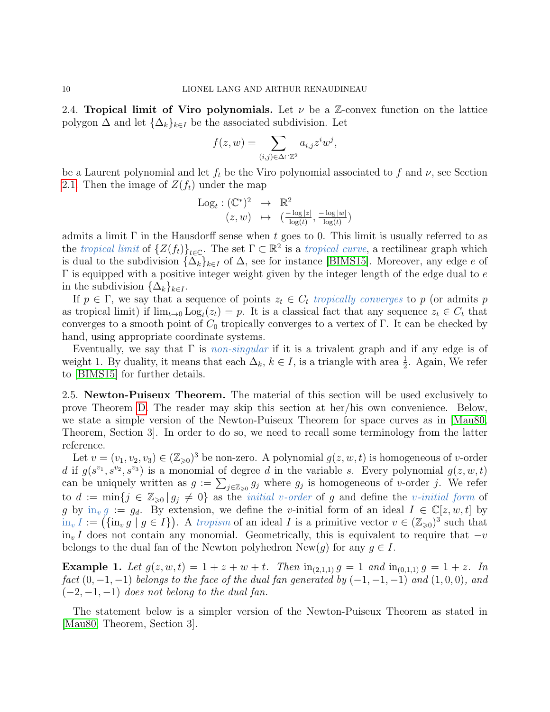<span id="page-9-0"></span>2.4. Tropical limit of Viro polynomials. Let  $\nu$  be a Z-convex function on the lattice polygon  $\Delta$  and let  $\{\Delta_k\}_{k\in I}$  be the associated subdivision. Let

$$
f(z, w) = \sum_{(i,j)\in\Delta\cap\mathbb{Z}^2} a_{i,j} z^i w^j,
$$

be a Laurent polynomial and let  $f_t$  be the Viro polynomial associated to f and  $\nu$ , see Section [2.1.](#page-5-2) Then the image of  $Z(f_t)$  under the map

$$
\begin{array}{rcl}\n\text{Log}_t: (\mathbb{C}^*)^2 & \to & \mathbb{R}^2 \\
(z, w) & \mapsto & \left(\frac{-\log|z|}{\log(t)}, \frac{-\log|w|}{\log(t)}\right)\n\end{array}
$$

admits a limit  $\Gamma$  in the Hausdorff sense when t goes to 0. This limit is usually referred to as the tropical limit of  $\{Z(f_t)\}_{t\in\mathbb{C}}$ . The set  $\Gamma\subset\mathbb{R}^2$  is a tropical curve, a rectilinear graph which is dual to the subdivision  $\{\Delta_k\}_{k\in I}$  of  $\Delta$ , see for instance [\[BIMS15\]](#page-29-11). Moreover, any edge e of  $\Gamma$  is equipped with a positive integer weight given by the integer length of the edge dual to  $e$ in the subdivision  $\{\Delta_k\}_{k\in I}$ .

If  $p \in \Gamma$ , we say that a sequence of points  $z_t \in C_t$  tropically converges to p (or admits p as tropical limit) if  $\lim_{t\to 0} Log_t(z_t) = p$ . It is a classical fact that any sequence  $z_t \in C_t$  that converges to a smooth point of  $C_0$  tropically converges to a vertex of Γ. It can be checked by hand, using appropriate coordinate systems.

Eventually, we say that  $\Gamma$  is non-singular if it is a trivalent graph and if any edge is of weight 1. By duality, it means that each  $\Delta_k$ ,  $k \in I$ , is a triangle with area  $\frac{1}{2}$ . Again, We refer to [\[BIMS15\]](#page-29-11) for further details.

<span id="page-9-1"></span>2.5. Newton-Puiseux Theorem. The material of this section will be used exclusively to prove Theorem [D.](#page-11-0) The reader may skip this section at her/his own convenience. Below, we state a simple version of the Newton-Puiseux Theorem for space curves as in [\[Mau80,](#page-29-12) Theorem, Section 3]. In order to do so, we need to recall some terminology from the latter reference.

Let  $v = (v_1, v_2, v_3) \in (\mathbb{Z}_{\geq 0})^3$  be non-zero. A polynomial  $g(z, w, t)$  is homogeneous of v-order d if  $g(s^{v_1}, s^{v_2}, s^{v_3})$  is a monomial of degree d in the variable s. Every polynomial  $g(z, w, t)$ can be uniquely written as  $g := \sum_{j \in \mathbb{Z}_{\geq 0}} g_j$  where  $g_j$  is homogeneous of v-order j. We refer to  $d := \min\{j \in \mathbb{Z}_{\geqslant 0} | g_j \neq 0\}$  as the *initial v-order* of g and define the *v-initial form* of g by  $\text{in}_v g := g_d$ . By extension, we define the v-initial form of an ideal  $I \in \mathbb{C}[z, w, t]$  by  $\lim_{v} I := (\{\n\lim_{v} g \mid g \in I\})$ . A tropism of an ideal I is a primitive vector  $v \in (\mathbb{Z}_{\geq 0})^3$  such that  $\text{in}_{v} I$  does not contain any monomial. Geometrically, this is equivalent to require that  $-v$ belongs to the dual fan of the Newton polyhedron  $\text{New}(q)$  for any  $q \in I$ .

**Example 1.** Let  $g(z, w, t) = 1 + z + w + t$ . Then  $\text{in}_{(2,1,1)} g = 1$  and  $\text{in}_{(0,1,1)} g = 1 + z$ . In fact  $(0, -1, -1)$  belongs to the face of the dual fan generated by  $(-1, -1, -1)$  and  $(1, 0, 0)$ , and  $(-2,-1,-1)$  does not belong to the dual fan.

The statement below is a simpler version of the Newton-Puiseux Theorem as stated in [\[Mau80,](#page-29-12) Theorem, Section 3].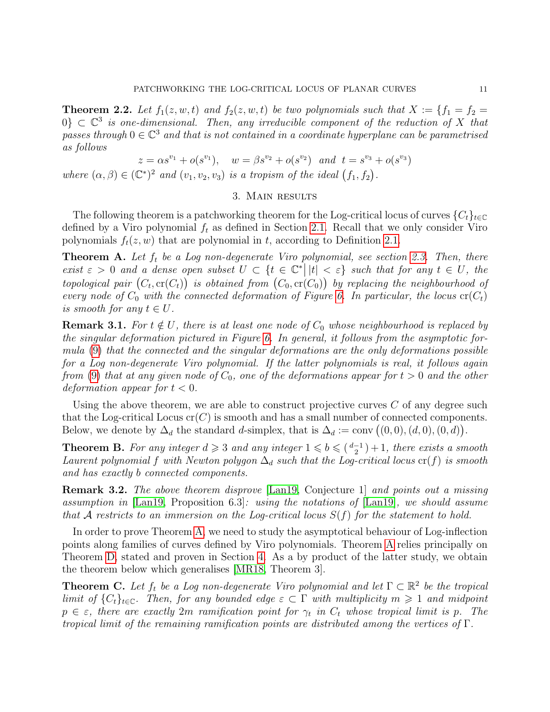**Theorem 2.2.** Let  $f_1(z, w, t)$  and  $f_2(z, w, t)$  be two polynomials such that  $X := \{f_1 = f_2 =$  $0\} \subset \mathbb{C}^3$  is one-dimensional. Then, any irreducible component of the reduction of X that passes through  $0 \in \mathbb{C}^3$  and that is not contained in a coordinate hyperplane can be parametrised as follows

$$
z = \alpha s^{v_1} + o(s^{v_1}), \quad w = \beta s^{v_2} + o(s^{v_2}) \quad and \quad t = s^{v_3} + o(s^{v_3})
$$

where  $(\alpha, \beta) \in (\mathbb{C}^*)^2$  and  $(v_1, v_2, v_3)$  is a tropism of the ideal  $(f_1, f_2)$ .

## 3. Main results

<span id="page-10-2"></span>The following theorem is a patchworking theorem for the Log-critical locus of curves  $\{C_t\}_{t\in\mathbb{C}}$ defined by a Viro polynomial  $f_t$  as defined in Section [2.1.](#page-5-2) Recall that we only consider Viro polynomials  $f_t(z, w)$  that are polynomial in t, according to Definition [2.1.](#page-6-1)

<span id="page-10-0"></span>**Theorem A.** Let  $f_t$  be a Log non-degenerate Viro polynomial, see section [2.3.](#page-7-0) Then, there exist  $\varepsilon > 0$  and a dense open subset  $U \subset \{t \in \mathbb{C}^*\mid |t| < \varepsilon\}$  such that for any  $t \in U$ , the topological pair  $(C_t, \text{cr}(C_t))$  is obtained from  $(C_0, \text{cr}(C_0))$  by replacing the neighbourhood of every node of  $C_0$  with the connected deformation of Figure [6.](#page-8-0) In particular, the locus  $cr(C_t)$ is smooth for any  $t \in U$ .

**Remark 3.1.** For  $t \notin U$ , there is at least one node of  $C_0$  whose neighbourhood is replaced by the singular deformation pictured in Figure [6.](#page-8-0) In general, it follows from the asymptotic formula [\(9\)](#page-18-0) that the connected and the singular deformations are the only deformations possible for a Log non-degenerate Viro polynomial. If the latter polynomials is real, it follows again from [\(9\)](#page-18-0) that at any given node of  $C_0$ , one of the deformations appear for  $t > 0$  and the other deformation appear for  $t < 0$ .

Using the above theorem, we are able to construct projective curves  $C$  of any degree such that the Log-critical Locus  $cr(C)$  is smooth and has a small number of connected components. Below, we denote by  $\Delta_d$  the standard d-simplex, that is  $\Delta_d := \text{conv}((0,0), (d,0), (0,d)).$ 

<span id="page-10-1"></span>**Theorem B.** For any integer  $d \geq 3$  and any integer  $1 \leq b \leq {d-1 \choose 2}+1$ , there exists a smooth Laurent polynomial f with Newton polygon  $\Delta_d$  such that the Log-critical locus cr(f) is smooth and has exactly b connected components.

**Remark 3.2.** The above theorem disprove [\[Lan19,](#page-29-1) Conjecture 1] and points out a missing assumption in [\[Lan19,](#page-29-1) Proposition 6.3]: using the notations of [\[Lan19\]](#page-29-1), we should assume that A restricts to an immersion on the Log-critical locus  $S(f)$  for the statement to hold.

In order to prove Theorem [A,](#page-10-0) we need to study the asymptotical behaviour of Log-inflection points along families of curves defined by Viro polynomials. Theorem [A](#page-10-0) relies principally on Theorem [D,](#page-11-0) stated and proven in Section [4.](#page-11-1) As a by product of the latter study, we obtain the theorem below which generalises [\[MR18,](#page-29-8) Theorem 3].

<span id="page-10-3"></span>**Theorem C.** Let  $f_t$  be a Log non-degenerate Viro polynomial and let  $\Gamma \subset \mathbb{R}^2$  be the tropical limit of  $\{C_t\}_{t\in\mathbb{C}}$ . Then, for any bounded edge  $\varepsilon \subset \Gamma$  with multiplicity  $m \geq 1$  and midpoint  $p \in \varepsilon$ , there are exactly  $2m$  ramification point for  $\gamma_t$  in  $C_t$  whose tropical limit is p. The tropical limit of the remaining ramification points are distributed among the vertices of  $\Gamma$ .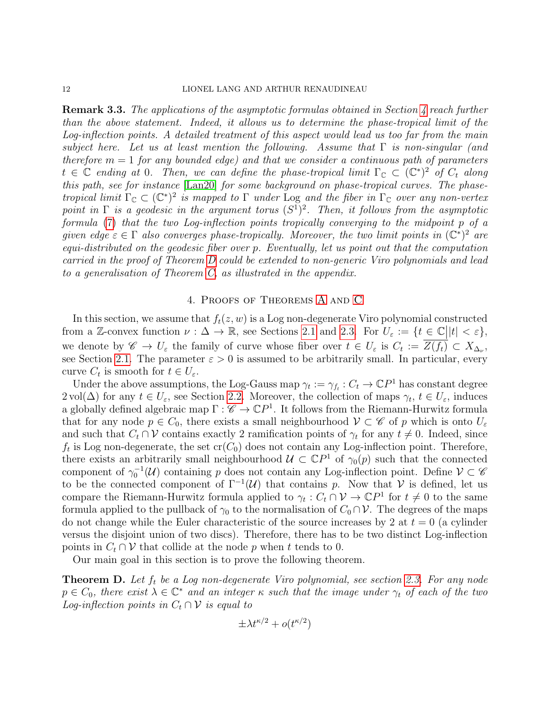**Remark 3.3.** The applications of the asymptotic formulas obtained in Section [4](#page-11-1) reach further than the above statement. Indeed, it allows us to determine the phase-tropical limit of the Log-inflection points. A detailed treatment of this aspect would lead us too far from the main subject here. Let us at least mention the following. Assume that  $\Gamma$  is non-singular (and therefore  $m = 1$  for any bounded edge) and that we consider a continuous path of parameters  $t \in \mathbb{C}$  ending at 0. Then, we can define the phase-tropical limit  $\Gamma_{\mathbb{C}} \subset (\mathbb{C}^*)^2$  of  $C_t$  along this path, see for instance [\[Lan20\]](#page-29-13) for some background on phase-tropical curves. The phasetropical limit  $\Gamma_{\mathbb{C}} \subset (\mathbb{C}^*)^2$  is mapped to  $\Gamma$  under Log and the fiber in  $\Gamma_{\mathbb{C}}$  over any non-vertex point in  $\Gamma$  is a geodesic in the argument torus  $(S^1)^2$ . Then, it follows from the asymptotic formula [\(7\)](#page-17-0) that the two Log-inflection points tropically converging to the midpoint p of a given edge  $\varepsilon \in \Gamma$  also converges phase-tropically. Moreover, the two limit points in  $(\mathbb{C}^*)^2$  are equi-distributed on the geodesic fiber over p. Eventually, let us point out that the computation carried in the proof of Theorem [D](#page-11-0) could be extended to non-generic Viro polynomials and lead to a generalisation of Theorem [C,](#page-10-3) as illustrated in the appendix.

## 4. Proofs of Theorems [A](#page-10-0) and [C](#page-10-3)

<span id="page-11-1"></span>In this section, we assume that  $f_t(z, w)$  is a Log non-degenerate Viro polynomial constructed from a Z-convex function  $\nu : \Delta \to \mathbb{R}$ , see Sections [2.1](#page-5-2) and [2.3.](#page-7-0) For  $U_{\varepsilon} := \{ t \in \mathbb{C} \mid |t| < \varepsilon \},\$ we denote by  $\mathscr{C} \to U_{\varepsilon}$  the family of curve whose fiber over  $t \in U_{\varepsilon}$  is  $C_t := Z(f_t) \subset X_{\Delta_{\nu}}$ , see Section [2.1.](#page-5-2) The parameter  $\varepsilon > 0$  is assumed to be arbitrarily small. In particular, every curve  $C_t$  is smooth for  $t \in U_{\varepsilon}$ .

Under the above assumptions, the Log-Gauss map  $\gamma_t := \gamma_{f_t} : C_t \to \mathbb{C}P^1$  has constant degree  $2 \text{ vol}(\Delta)$  for any  $t \in U_{\varepsilon}$ , see Section [2.2.](#page-6-0) Moreover, the collection of maps  $\gamma_t, t \in U_{\varepsilon}$ , induces a globally defined algebraic map  $\Gamma: \mathscr{C} \to \mathbb{C}P^1$ . It follows from the Riemann-Hurwitz formula that for any node  $p \in C_0$ , there exists a small neighbourhood  $\mathcal{V} \subset \mathscr{C}$  of p which is onto  $U_{\varepsilon}$ and such that  $C_t \cap V$  contains exactly 2 ramification points of  $\gamma_t$  for any  $t \neq 0$ . Indeed, since  $f_t$  is Log non-degenerate, the set  $cr(C_0)$  does not contain any Log-inflection point. Therefore, there exists an arbitrarily small neighbourhood  $\mathcal{U} \subset \mathbb{C}P^1$  of  $\gamma_0(p)$  such that the connected component of  $\gamma_0^{-1}(\mathcal{U})$  containing p does not contain any Log-inflection point. Define  $\mathcal{V} \subset \mathscr{C}$ to be the connected component of  $\Gamma^{-1}(\mathcal{U})$  that contains p. Now that V is defined, let us compare the Riemann-Hurwitz formula applied to  $\gamma_t: C_t \cap \mathcal{V} \to \mathbb{C}P^1$  for  $t \neq 0$  to the same formula applied to the pullback of  $\gamma_0$  to the normalisation of  $C_0 \cap \mathcal{V}$ . The degrees of the maps do not change while the Euler characteristic of the source increases by 2 at  $t = 0$  (a cylinder versus the disjoint union of two discs). Therefore, there has to be two distinct Log-inflection points in  $C_t \cap \mathcal{V}$  that collide at the node p when t tends to 0.

Our main goal in this section is to prove the following theorem.

<span id="page-11-0"></span>**Theorem D.** Let  $f_t$  be a Log non-degenerate Viro polynomial, see section [2.3.](#page-7-0) For any node  $p \in C_0$ , there exist  $\lambda \in \mathbb{C}^*$  and an integer  $\kappa$  such that the image under  $\gamma_t$  of each of the two Log-inflection points in  $C_t \cap \mathcal{V}$  is equal to

$$
\pm \lambda t^{\kappa/2} + o(t^{\kappa/2})
$$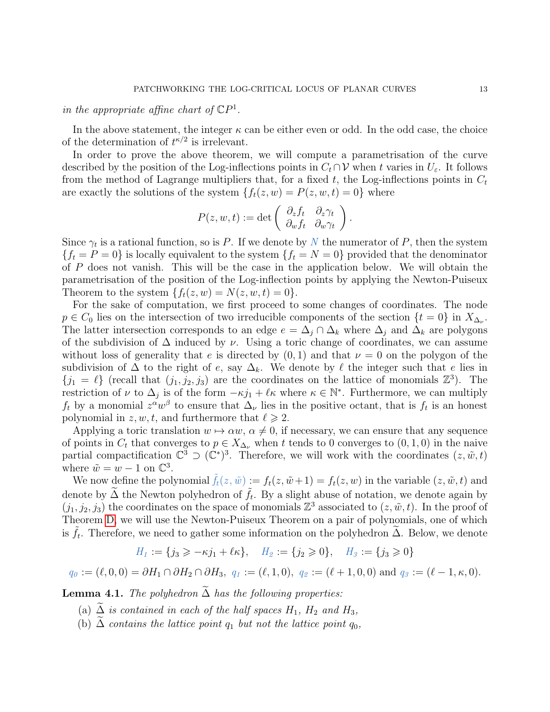# in the appropriate affine chart of  $\mathbb{C}P^1$ .

In the above statement, the integer  $\kappa$  can be either even or odd. In the odd case, the choice of the determination of  $t^{\kappa/2}$  is irrelevant.

In order to prove the above theorem, we will compute a parametrisation of the curve described by the position of the Log-inflections points in  $C_t \cap \mathcal{V}$  when t varies in  $U_{\varepsilon}$ . It follows from the method of Lagrange multipliers that, for a fixed  $t$ , the Log-inflections points in  $C_t$ are exactly the solutions of the system  $\{f_t(z, w) = P(z, w, t) = 0\}$  where

$$
P(z, w, t) := \det \left( \begin{array}{cc} \partial_z f_t & \partial_z \gamma_t \\ \partial_w f_t & \partial_w \gamma_t \end{array} \right).
$$

Since  $\gamma_t$  is a rational function, so is P. If we denote by N the numerator of P, then the system  ${f_t = P = 0}$  is locally equivalent to the system  ${f_t = N = 0}$  provided that the denominator of  $P$  does not vanish. This will be the case in the application below. We will obtain the parametrisation of the position of the Log-inflection points by applying the Newton-Puiseux Theorem to the system  $\{f_t(z, w) = N(z, w, t) = 0\}.$ 

For the sake of computation, we first proceed to some changes of coordinates. The node  $p \in C_0$  lies on the intersection of two irreducible components of the section  $\{t = 0\}$  in  $X_{\Delta_{\nu}}$ . The latter intersection corresponds to an edge  $e = \Delta_i \cap \Delta_k$  where  $\Delta_i$  and  $\Delta_k$  are polygons of the subdivision of  $\Delta$  induced by  $\nu$ . Using a toric change of coordinates, we can assume without loss of generality that e is directed by  $(0, 1)$  and that  $\nu = 0$  on the polygon of the subdivision of  $\Delta$  to the right of e, say  $\Delta_k$ . We denote by  $\ell$  the integer such that e lies in  $\{j_1 = \ell\}$  (recall that  $(j_1, j_2, j_3)$  are the coordinates on the lattice of monomials  $\mathbb{Z}^3$ ). The restriction of  $\nu$  to  $\Delta_j$  is of the form  $-\kappa j_1 + \ell \kappa$  where  $\kappa \in \mathbb{N}^*$ . Furthermore, we can multiply  $f_t$  by a monomial  $z^{\alpha}w^{\beta}$  to ensure that  $\Delta_{\nu}$  lies in the positive octant, that is  $f_t$  is an honest polynomial in  $z, w, t$ , and furthermore that  $\ell \geq 2$ .

Applying a toric translation  $w \mapsto \alpha w$ ,  $\alpha \neq 0$ , if necessary, we can ensure that any sequence of points in  $C_t$  that converges to  $p \in X_{\Delta_{\nu}}$  when t tends to 0 converges to  $(0, 1, 0)$  in the naive partial compactification  $\mathbb{C}^3 \supset (\mathbb{C}^*)^3$ . Therefore, we will work with the coordinates  $(z, \tilde{w}, t)$ where  $\tilde{w} = w - 1$  on  $\mathbb{C}^3$ .

We now define the polynomial  $f_t(z, \tilde{w}) := f_t(z, \tilde{w}+1) = f_t(z, w)$  in the variable  $(z, \tilde{w}, t)$  and denote by  $\widetilde{\Delta}$  the Newton polyhedron of  $\widetilde{f}_t$ . By a slight abuse of notation, we denote again by  $(j_1, j_2, j_3)$  the coordinates on the space of monomials  $\mathbb{Z}^3$  associated to  $(z, \tilde{w}, t)$ . In the proof of Theorem [D,](#page-11-0) we will use the Newton-Puiseux Theorem on a pair of polynomials, one of which is  $\tilde{f}_t$ . Therefore, we need to gather some information on the polyhedron  $\tilde{\Delta}$ . Below, we denote

$$
H_1 := \{ j_3 \geq -\kappa j_1 + \ell \kappa \}, \quad H_2 := \{ j_2 \geq 0 \}, \quad H_3 := \{ j_3 \geq 0 \}
$$

$$
q_0 := (\ell, 0, 0) = \partial H_1 \cap \partial H_2 \cap \partial H_3, \ q_1 := (\ell, 1, 0), \ q_2 := (\ell + 1, 0, 0) \text{ and } q_3 := (\ell - 1, \kappa, 0).
$$

<span id="page-12-0"></span>**Lemma 4.1.** The polyhedron  $\overline{\Delta}$  has the following properties:

- (a)  $\tilde{\Delta}$  is contained in each of the half spaces  $H_1$ ,  $H_2$  and  $H_3$ ,
- (b)  $\Delta$  contains the lattice point  $q_1$  but not the lattice point  $q_0$ ,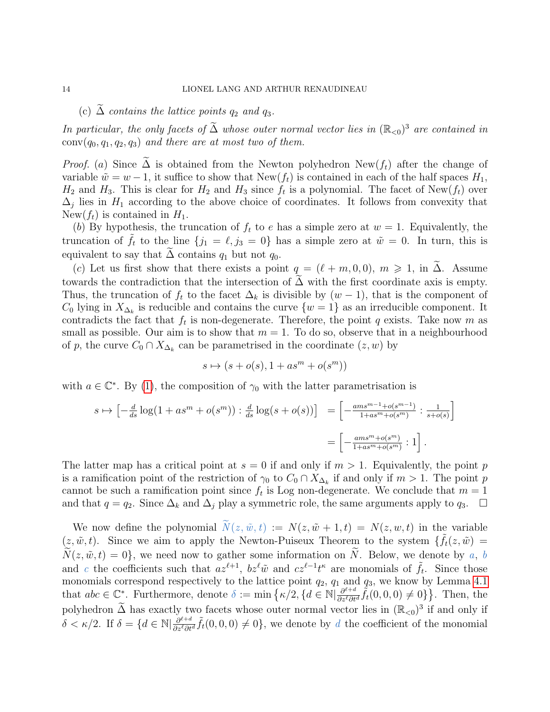(c)  $\Delta$  contains the lattice points  $q_2$  and  $q_3$ .

In particular, the only facets of  $\tilde{\Delta}$  whose outer normal vector lies in  $(\mathbb{R}_{<0})^3$  are contained in  $conv(q_0, q_1, q_2, q_3)$  and there are at most two of them.

*Proof.* (a) Since  $\Delta$  is obtained from the Newton polyhedron New( $f_t$ ) after the change of variable  $\tilde{w} = w - 1$ , it suffice to show that New(f<sub>t</sub>) is contained in each of the half spaces  $H_1$ ,  $H_2$  and  $H_3$ . This is clear for  $H_2$  and  $H_3$  since  $f_t$  is a polynomial. The facet of New( $f_t$ ) over  $\Delta_j$  lies in  $H_1$  according to the above choice of coordinates. It follows from convexity that New( $f_t$ ) is contained in  $H_1$ .

(b) By hypothesis, the truncation of  $f_t$  to e has a simple zero at  $w = 1$ . Equivalently, the truncation of  $f_t$  to the line  $\{j_1 = \ell, j_3 = 0\}$  has a simple zero at  $\tilde{w} = 0$ . In turn, this is equivalent to say that  $\Delta$  contains  $q_1$  but not  $q_0$ .

(c) Let us first show that there exists a point  $q = (\ell + m, 0, 0), m \geq 1$ , in  $\Delta$ . Assume towards the contradiction that the intersection of  $\Delta$  with the first coordinate axis is empty. Thus, the truncation of  $f_t$  to the facet  $\Delta_k$  is divisible by  $(w-1)$ , that is the component of  $C_0$  lying in  $X_{\Delta_k}$  is reducible and contains the curve  $\{w=1\}$  as an irreducible component. It contradicts the fact that  $f_t$  is non-degenerate. Therefore, the point q exists. Take now m as small as possible. Our aim is to show that  $m = 1$ . To do so, observe that in a neighbourhood of p, the curve  $C_0 \cap X_{\Delta_k}$  can be parametrised in the coordinate  $(z, w)$  by

$$
s \mapsto (s + o(s), 1 + as^m + o(s^m))
$$

with  $a \in \mathbb{C}^*$ . By [\(1\)](#page-7-1), the composition of  $\gamma_0$  with the latter parametrisation is

$$
s \mapsto \left[ -\frac{d}{ds} \log(1 + as^m + o(s^m)) : \frac{d}{ds} \log(s + o(s)) \right] = \left[ -\frac{ams^{m-1} + o(s^{m-1})}{1 + as^m + o(s^m)} : \frac{1}{s + o(s)} \right]
$$

$$
= \left[ -\frac{ams^m + o(s^m)}{1 + as^m + o(s^m)} : 1 \right].
$$

The latter map has a critical point at  $s = 0$  if and only if  $m > 1$ . Equivalently, the point p is a ramification point of the restriction of  $\gamma_0$  to  $C_0 \cap X_{\Delta_k}$  if and only if  $m > 1$ . The point p cannot be such a ramification point since  $f_t$  is Log non-degenerate. We conclude that  $m = 1$ and that  $q = q_2$ . Since  $\Delta_k$  and  $\Delta_j$  play a symmetric role, the same arguments apply to  $q_3$ .  $\Box$ 

We now define the polynomial  $N(z, \tilde{w}, t) := N(z, \tilde{w} + 1, t) = N(z, w, t)$  in the variable  $(z, \tilde{w}, t)$ . Since we aim to apply the Newton-Puiseux Theorem to the system  $\{\tilde{f}_t(z, \tilde{w})\}$  $\widetilde{N}(z,\tilde{w}, t) = 0$ , we need now to gather some information on  $\widetilde{N}$ . Below, we denote by a, b and c the coefficients such that  $az^{\ell+1}$ ,  $bz^{\ell}\tilde{w}$  and  $cz^{\ell-1}t^{\kappa}$  are monomials of  $\tilde{f}_t$ . Since those monomials correspond respectively to the lattice point  $q_2$ ,  $q_1$  and  $q_3$ , we know by Lemma [4.1](#page-12-0) that  $abc \in \mathbb{C}^*$ . Furthermore, denote  $\delta := \min \left\{ \kappa/2, \left\{ d \in \mathbb{N} \middle| \frac{\partial^{\ell+d}}{\partial x^{\ell} \partial t} \right\} \right\}$  $\frac{\partial^{\ell+d}}{\partial z^{\ell} \partial t^d} \tilde{f}_t(0,0,0) \neq 0$ }. Then, the polyhedron  $\tilde{\Delta}$  has exactly two facets whose outer normal vector lies in  $(\mathbb{R}_{<0})^3$  if and only if  $\delta < \kappa/2$ . If  $\delta = \{d \in \mathbb{N} | \frac{\partial^{\ell+d}}{\partial s^{\ell} \partial t}$  $\frac{\partial^{\ell+d}}{\partial z^{\ell} \partial t^d} \tilde{f}_t(0,0,0) \neq 0$ , we denote by d the coefficient of the monomial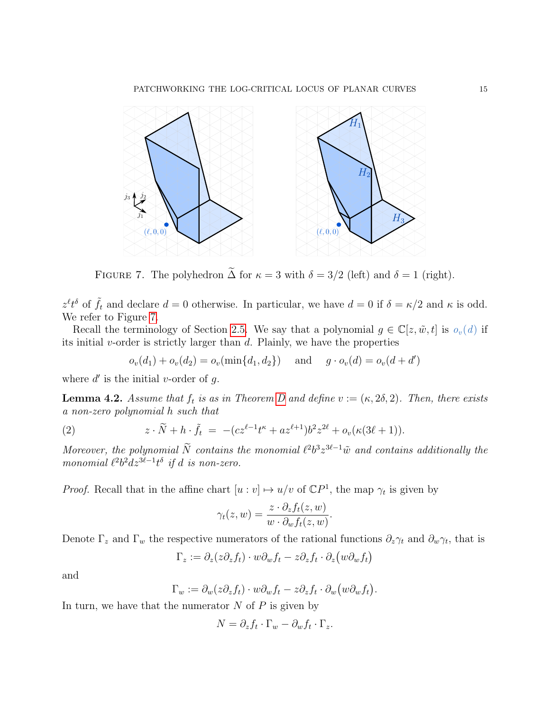<span id="page-14-0"></span>

FIGURE 7. The polyhedron  $\tilde{\Delta}$  for  $\kappa = 3$  with  $\delta = 3/2$  (left) and  $\delta = 1$  (right).

 $z^{\ell}t^{\delta}$  of  $\tilde{f}_t$  and declare  $d=0$  otherwise. In particular, we have  $d=0$  if  $\delta=\kappa/2$  and  $\kappa$  is odd. We refer to Figure [7.](#page-14-0)

Recall the terminology of Section [2.5.](#page-9-1) We say that a polynomial  $g \in \mathbb{C}[z,\tilde{w},t]$  is  $o_v(d)$  if its initial  $v$ -order is strictly larger than  $d$ . Plainly, we have the properties

<span id="page-14-2"></span> $o_v(d_1) + o_v(d_2) = o_v(\min\{d_1, d_2\})$  and  $g \cdot o_v(d) = o_v(d + d')$ 

where  $d'$  is the initial v-order of  $g$ .

<span id="page-14-1"></span>**Lemma 4.2.** Assume that  $f_t$  is as in Theorem [D](#page-11-0) and define  $v := (\kappa, 2\delta, 2)$ . Then, there exists a non-zero polynomial h such that

(2) 
$$
z \cdot \widetilde{N} + h \cdot \widetilde{f}_t = -(cz^{\ell-1}t^{\kappa} + az^{\ell+1})b^2z^{2\ell} + o_v(\kappa(3\ell+1)).
$$

Moreover, the polynomial  $\tilde{N}$  contains the monomial  $\ell^2 b^3 z^{3\ell-1} \tilde{w}$  and contains additionally the monomial  $\ell^2 b^2 dz^{3\ell-1} t^{\delta}$  if d is non-zero.

*Proof.* Recall that in the affine chart  $[u : v] \mapsto u/v$  of  $\mathbb{C}P^1$ , the map  $\gamma_t$  is given by

$$
\gamma_t(z,w) = \frac{z \cdot \partial_z f_t(z,w)}{w \cdot \partial_w f_t(z,w)}.
$$

Denote  $\Gamma_z$  and  $\Gamma_w$  the respective numerators of the rational functions  $\partial_z \gamma_t$  and  $\partial_w \gamma_t$ , that is

$$
\Gamma_z := \partial_z(z\partial_z f_t) \cdot w\partial_w f_t - z\partial_z f_t \cdot \partial_z (w\partial_w f_t)
$$

and

$$
\Gamma_w := \partial_w(z\partial_z f_t) \cdot w\partial_w f_t - z\partial_z f_t \cdot \partial_w(w\partial_w f_t).
$$

In turn, we have that the numerator  $N$  of  $P$  is given by

$$
N = \partial_z f_t \cdot \Gamma_w - \partial_w f_t \cdot \Gamma_z.
$$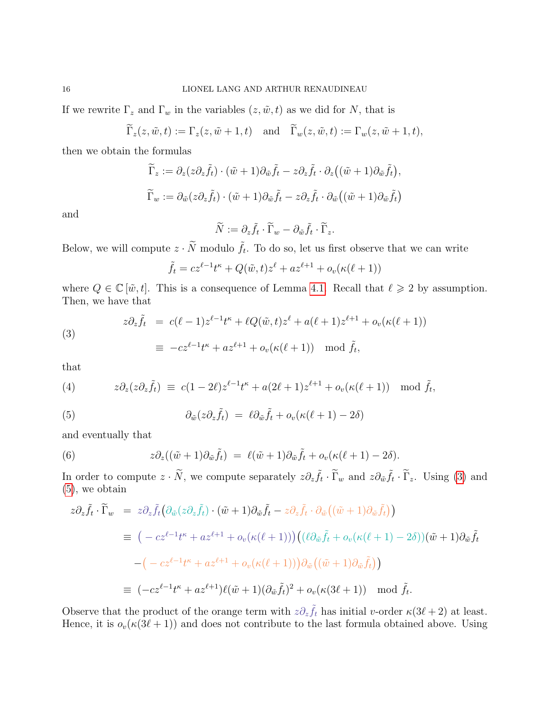If we rewrite  $\Gamma_z$  and  $\Gamma_w$  in the variables  $(z, \tilde{w}, t)$  as we did for N, that is

$$
\widetilde{\Gamma}_z(z,\tilde{w},t) := \Gamma_z(z,\tilde{w}+1,t) \quad \text{and} \quad \widetilde{\Gamma}_w(z,\tilde{w},t) := \Gamma_w(z,\tilde{w}+1,t),
$$

then we obtain the formulas

$$
\widetilde{\Gamma}_z := \partial_z(z\partial_z \widetilde{f}_t) \cdot (\tilde{w} + 1)\partial_{\tilde{w}} \widetilde{f}_t - z\partial_z \widetilde{f}_t \cdot \partial_z((\tilde{w} + 1)\partial_{\tilde{w}} \widetilde{f}_t),
$$
  

$$
\widetilde{\Gamma}_w := \partial_{\tilde{w}}(z\partial_z \widetilde{f}_t) \cdot (\tilde{w} + 1)\partial_{\tilde{w}} \widetilde{f}_t - z\partial_z \widetilde{f}_t \cdot \partial_{\tilde{w}}((\tilde{w} + 1)\partial_{\tilde{w}} \widetilde{f}_t)
$$

and

$$
\widetilde{N} := \partial_z \widetilde{f}_t \cdot \widetilde{\Gamma}_w - \partial_{\tilde{w}} \widetilde{f}_t \cdot \widetilde{\Gamma}_z.
$$

Below, we will compute  $z \cdot \tilde{N}$  modulo  $\tilde{f}_t$ . To do so, let us first observe that we can write

$$
\tilde{f}_t = cz^{\ell-1}t^{\kappa} + Q(\tilde{w}, t)z^{\ell} + az^{\ell+1} + o_v(\kappa(\ell+1))
$$

where  $Q \in \mathbb{C}[\tilde{w}, t]$ . This is a consequence of Lemma [4.1.](#page-12-0) Recall that  $\ell \geq 2$  by assumption. Then, we have that

<span id="page-15-0"></span>(3)  
\n
$$
z\partial_z \tilde{f}_t = c(\ell - 1)z^{\ell - 1}t^{\kappa} + \ell Q(\tilde{w}, t)z^{\ell} + a(\ell + 1)z^{\ell + 1} + o_v(\kappa(\ell + 1))
$$
\n
$$
\equiv -cz^{\ell - 1}t^{\kappa} + az^{\ell + 1} + o_v(\kappa(\ell + 1)) \mod \tilde{f}_t,
$$

that

<span id="page-15-2"></span>(4) 
$$
z\partial_z(z\partial_z \tilde{f}_t) \equiv c(1-2\ell)z^{\ell-1}t^{\kappa} + a(2\ell+1)z^{\ell+1} + o_v(\kappa(\ell+1)) \mod \tilde{f}_t,
$$

<span id="page-15-1"></span>(5) 
$$
\partial_{\tilde{w}}(z \partial_z \tilde{f}_t) = \ell \partial_{\tilde{w}} \tilde{f}_t + o_v(\kappa(\ell+1) - 2\delta)
$$

and eventually that

<span id="page-15-3"></span>(6) 
$$
z\partial_z((\tilde{w}+1)\partial_{\tilde{w}}\tilde{f}_t) = \ell(\tilde{w}+1)\partial_{\tilde{w}}\tilde{f}_t + o_v(\kappa(\ell+1)-2\delta).
$$

In order to compute  $z \cdot \tilde{N}$ , we compute separately  $z \partial_z \tilde{f}_t \cdot \tilde{\Gamma}_w$  and  $z \partial_{\tilde{w}} \tilde{f}_t \cdot \tilde{\Gamma}_z$ . Using [\(3\)](#page-15-0) and [\(5\)](#page-15-1), we obtain

$$
z\partial_z \tilde{f}_t \cdot \tilde{\Gamma}_w = z\partial_z \tilde{f}_t \big( \partial_{\tilde{w}} (z\partial_z \tilde{f}_t) \cdot (\tilde{w} + 1) \partial_{\tilde{w}} \tilde{f}_t - z\partial_z \tilde{f}_t \cdot \partial_{\tilde{w}} \big( (\tilde{w} + 1) \partial_{\tilde{w}} \tilde{f}_t \big) \big)
$$
  
\n
$$
\equiv \left( -cz^{\ell-1}t^{\kappa} + az^{\ell+1} + o_v(\kappa(\ell+1)) \right) \left( (\ell \partial_{\tilde{w}} \tilde{f}_t + o_v(\kappa(\ell+1) - 2\delta)) (\tilde{w} + 1) \partial_{\tilde{w}} \tilde{f}_t \big) \big)
$$
  
\n
$$
- \left( -cz^{\ell-1}t^{\kappa} + az^{\ell+1} + o_v(\kappa(\ell+1)) \right) \partial_{\tilde{w}} \big( (\tilde{w} + 1) \partial_{\tilde{w}} \tilde{f}_t \big) \big)
$$
  
\n
$$
\equiv \left( -cz^{\ell-1}t^{\kappa} + az^{\ell+1} \right) \ell(\tilde{w} + 1) (\partial_{\tilde{w}} \tilde{f}_t)^2 + o_v(\kappa(3\ell+1)) \mod \tilde{f}_t.
$$

Observe that the product of the orange term with  $z\partial_z \tilde{f}_t$  has initial v-order  $\kappa(3\ell+2)$  at least. Hence, it is  $o_v(\kappa(3\ell + 1))$  and does not contribute to the last formula obtained above. Using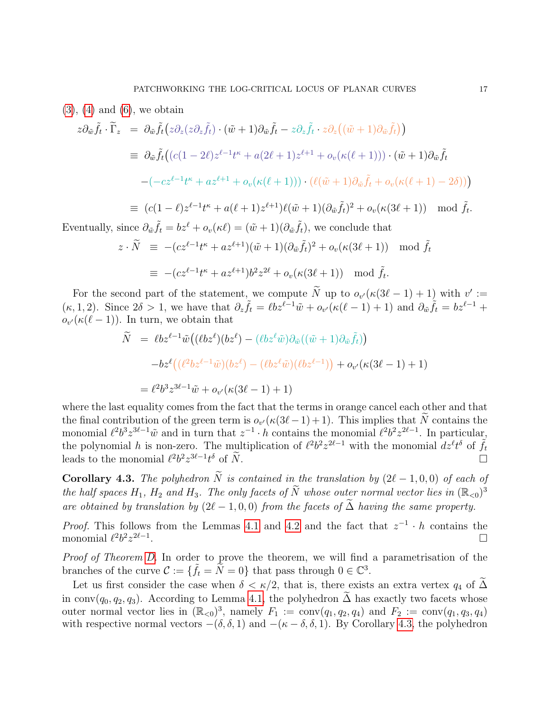$$
(3)
$$
,  $(4)$  and  $(6)$ , we obtain

$$
z\partial_{\tilde{w}}\tilde{f}_t \cdot \tilde{\Gamma}_z = \partial_{\tilde{w}}\tilde{f}_t \big(z\partial_z(z\partial_z\tilde{f}_t) \cdot (\tilde{w}+1)\partial_{\tilde{w}}\tilde{f}_t - z\partial_z\tilde{f}_t \cdot z\partial_z((\tilde{w}+1)\partial_{\tilde{w}}\tilde{f}_t)\big)
$$
  
\n
$$
\equiv \partial_{\tilde{w}}\tilde{f}_t \big((c(1-2\ell)z^{\ell-1}t^{\kappa} + a(2\ell+1)z^{\ell+1} + o_v(\kappa(\ell+1))) \cdot (\tilde{w}+1)\partial_{\tilde{w}}\tilde{f}_t
$$
  
\n
$$
-(-cz^{\ell-1}t^{\kappa} + az^{\ell+1} + o_v(\kappa(\ell+1))) \cdot (\ell(\tilde{w}+1)\partial_{\tilde{w}}\tilde{f}_t + o_v(\kappa(\ell+1) - 2\delta))\big)
$$
  
\n
$$
\equiv (c(1-\ell)z^{\ell-1}t^{\kappa} + a(\ell+1)z^{\ell+1})\ell(\tilde{w}+1)(\partial_{\tilde{w}}\tilde{f}_t)^2 + o_v(\kappa(3\ell+1)) \mod \tilde{f}_t.
$$

Eventually, since  $\partial_{\tilde{w}} \tilde{f}_t = bz^{\ell} + o_v(\kappa \ell) = (\tilde{w} + 1)(\partial_{\tilde{w}} \tilde{f}_t)$ , we conclude that

$$
z \cdot \widetilde{N} \equiv -(cz^{\ell-1}t^{\kappa} + az^{\ell+1})(\tilde{w} + 1)(\partial_{\tilde{w}}\tilde{f}_t)^2 + o_v(\kappa(3\ell+1)) \mod \tilde{f}_t
$$
  

$$
\equiv -(cz^{\ell-1}t^{\kappa} + az^{\ell+1})b^2z^{2\ell} + o_v(\kappa(3\ell+1)) \mod \tilde{f}_t.
$$

For the second part of the statement, we compute  $\tilde{N}$  up to  $o_{v'}(\kappa(3\ell-1)+1)$  with  $v' :=$  $(\kappa, 1, 2)$ . Since  $2\delta > 1$ , we have that  $\partial_z \tilde{f}_t = \ell b z^{\ell-1} \tilde{w} + o_{v'}(\kappa(\ell-1) + 1)$  and  $\partial_{\tilde{w}} \tilde{f}_t = b z^{\ell-1} +$  $o_{v'}(\kappa(\ell-1))$ . In turn, we obtain that

$$
\begin{aligned}\n\widetilde{N} &= \ell b z^{\ell-1} \widetilde{w} \big( (\ell b z^{\ell})(b z^{\ell}) - (\ell b z^{\ell} \widetilde{w}) \partial_{\widetilde{w}} ((\widetilde{w} + 1) \partial_{\widetilde{w}} \widetilde{f}_t) \big) \\
&\quad - b z^{\ell} \big( (\ell^2 b z^{\ell-1} \widetilde{w})(b z^{\ell}) - (\ell b z^{\ell} \widetilde{w})(\ell b z^{\ell-1}) \big) + o_{v'}(\kappa (3\ell - 1) + 1) \\
&= \ell^2 b^3 z^{3\ell - 1} \widetilde{w} + o_{v'}(\kappa (3\ell - 1) + 1)\n\end{aligned}
$$

where the last equality comes from the fact that the terms in orange cancel each other and that the final contribution of the green term is  $o_{v'}(\kappa(3\ell-1)+1)$ . This implies that N contains the monomial  $\ell^2 b^3 z^{3\ell-1} \tilde{w}$  and in turn that  $z^{-1} \cdot h$  contains the monomial  $\ell^2 b^2 z^{2\ell-1}$ . In particular, the polynomial h is non-zero. The multiplication of  $\ell^2 b^2 z^{2\ell-1}$  with the monomial  $dz^{\ell}t^{\delta}$  of  $\tilde{f}_t$ leads to the monomial  $\ell^2 b^2 z^{3\ell - 1} t$  $\delta$  of  $\widetilde{N}$ .

<span id="page-16-0"></span>**Corollary 4.3.** The polyhedron  $\widetilde{N}$  is contained in the translation by  $(2\ell - 1, 0, 0)$  of each of the half spaces  $H_1$ ,  $H_2$  and  $H_3$ . The only facets of  $\widetilde{N}$  whose outer normal vector lies in  $(\mathbb{R}_{\leq 0})^3$ are obtained by translation by  $(2\ell - 1, 0, 0)$  from the facets of  $\widetilde{\Delta}$  having the same property.

*Proof.* This follows from the Lemmas [4.1](#page-12-0) and [4.2](#page-14-1) and the fact that  $z^{-1} \cdot h$  contains the monomial  $\ell^2 b^2 z^{2\ell-1}$ .

Proof of Theorem [D.](#page-11-0) In order to prove the theorem, we will find a parametrisation of the branches of the curve  $\mathcal{C} := \{ \tilde{f}_t = \tilde{N} = 0 \}$  that pass through  $0 \in \mathbb{C}^3$ .

Let us first consider the case when  $\delta < \kappa/2$ , that is, there exists an extra vertex  $q_4$  of  $\widetilde{\Delta}$ in conv( $q_0, q_2, q_3$ ). According to Lemma [4.1,](#page-12-0) the polyhedron  $\tilde{\Delta}$  has exactly two facets whose outer normal vector lies in  $(\mathbb{R}_{<0})^3$ , namely  $F_1 := \text{conv}(q_1, q_2, q_4)$  and  $F_2 := \text{conv}(q_1, q_3, q_4)$ with respective normal vectors  $-(\delta, \delta, 1)$  and  $-(\kappa - \delta, \delta, 1)$ . By Corollary [4.3,](#page-16-0) the polyhedron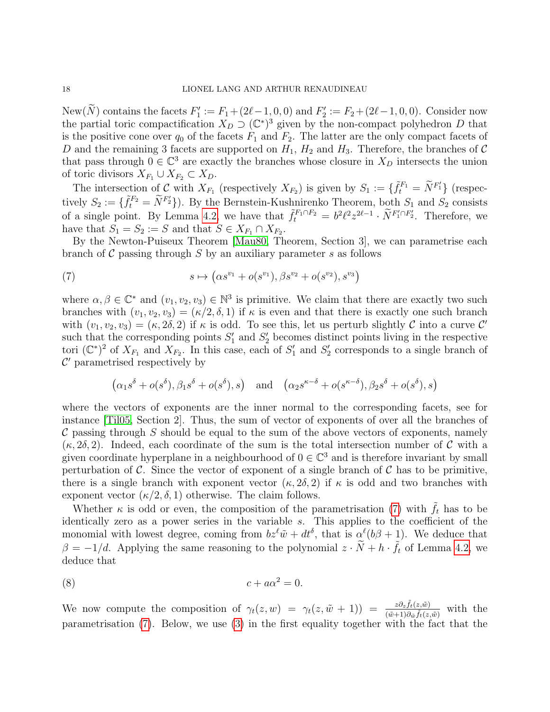New(N) contains the facets  $F_1' := F_1 + (2\ell - 1, 0, 0)$  and  $F_2' := F_2 + (2\ell - 1, 0, 0)$ . Consider now the partial toric compactification  $X_D \supset (\mathbb{C}^*)^3$  given by the non-compact polyhedron D that is the positive cone over  $q_0$  of the facets  $F_1$  and  $F_2$ . The latter are the only compact facets of D and the remaining 3 facets are supported on  $H_1$ ,  $H_2$  and  $H_3$ . Therefore, the branches of C that pass through  $0 \in \mathbb{C}^3$  are exactly the branches whose closure in  $X_D$  intersects the union of toric divisors  $X_{F_1} \cup X_{F_2} \subset X_D$ .

The intersection of C with  $X_{F_1}$  (respectively  $X_{F_2}$ ) is given by  $S_1 := \{ \tilde{f}_t^{F_1} = \tilde{N}^{F'_1} \}$  (respectively  $S_2 := \{ \tilde{f}_t^{F_2} = \tilde{N}^{F_2} \}$ . By the Bernstein-Kushnirenko Theorem, both  $S_1$  and  $S_2$  consists of a single point. By Lemma [4.2,](#page-14-1) we have that  $\tilde{f}_t^{F_1 \cap F_2} = b^2 \ell^2 z^{2\ell - 1} \cdot \tilde{N}^{F'_1 \cap F'_2}$ . Therefore, we have that  $S_1 = S_2 := S$  and that  $S \in X_{F_1} \cap X_{F_2}$ .

By the Newton-Puiseux Theorem [\[Mau80,](#page-29-12) Theorem, Section 3], we can parametrise each branch of  $\mathcal C$  passing through  $S$  by an auxiliary parameter  $s$  as follows

<span id="page-17-0"></span>(7) 
$$
s \mapsto (\alpha s^{v_1} + o(s^{v_1}), \beta s^{v_2} + o(s^{v_2}), s^{v_3})
$$

where  $\alpha, \beta \in \mathbb{C}^*$  and  $(v_1, v_2, v_3) \in \mathbb{N}^3$  is primitive. We claim that there are exactly two such branches with  $(v_1, v_2, v_3) = (\kappa/2, \delta, 1)$  if  $\kappa$  is even and that there is exactly one such branch with  $(v_1, v_2, v_3) = (\kappa, 2\delta, 2)$  if  $\kappa$  is odd. To see this, let us perturb slightly C into a curve C' such that the corresponding points  $S'_1$  and  $S'_2$  becomes distinct points living in the respective tori  $(\mathbb{C}^*)^2$  of  $X_{F_1}$  and  $X_{F_2}$ . In this case, each of  $S'_1$  and  $S'_2$  corresponds to a single branch of  $\mathcal{C}'$  parametrised respectively by

$$
(\alpha_1 s^{\delta} + o(s^{\delta}), \beta_1 s^{\delta} + o(s^{\delta}), s) \text{ and } (\alpha_2 s^{\kappa-\delta} + o(s^{\kappa-\delta}), \beta_2 s^{\delta} + o(s^{\delta}), s)
$$

where the vectors of exponents are the inner normal to the corresponding facets, see for instance [\[Til05,](#page-29-14) Section 2]. Thus, the sum of vector of exponents of over all the branches of  $\mathcal C$  passing through S should be equal to the sum of the above vectors of exponents, namely  $(\kappa, 2\delta, 2)$ . Indeed, each coordinate of the sum is the total intersection number of C with a given coordinate hyperplane in a neighbourhood of  $0 \in \mathbb{C}^3$  and is therefore invariant by small perturbation of  $\mathcal C$ . Since the vector of exponent of a single branch of  $\mathcal C$  has to be primitive, there is a single branch with exponent vector  $(\kappa, 2\delta, 2)$  if  $\kappa$  is odd and two branches with exponent vector  $(\kappa/2, \delta, 1)$  otherwise. The claim follows.

Whether  $\kappa$  is odd or even, the composition of the parametrisation [\(7\)](#page-17-0) with  $\tilde{f}_t$  has to be identically zero as a power series in the variable s. This applies to the coefficient of the monomial with lowest degree, coming from  $bz^{\ell}\tilde{w} + dt^{\delta}$ , that is  $\alpha^{\ell}(b\beta + 1)$ . We deduce that  $\beta = -1/d$ . Applying the same reasoning to the polynomial  $z \cdot \tilde{N} + h \cdot \tilde{f}_t$  of Lemma [4.2,](#page-14-1) we deduce that

<span id="page-17-1"></span>
$$
(8) \t\t\t c + a\alpha^2 = 0.
$$

We now compute the composition of  $\gamma_t(z,w) = \gamma_t(z,\tilde{w} + 1) = \frac{z \partial_z \tilde{f}_t(z,\tilde{w})}{(\tilde{w} + 1) \partial_{\tilde{w}} \tilde{f}_t(z,\tilde{w})}$  with the parametrisation [\(7\)](#page-17-0). Below, we use [\(3\)](#page-15-0) in the first equality together with the fact that the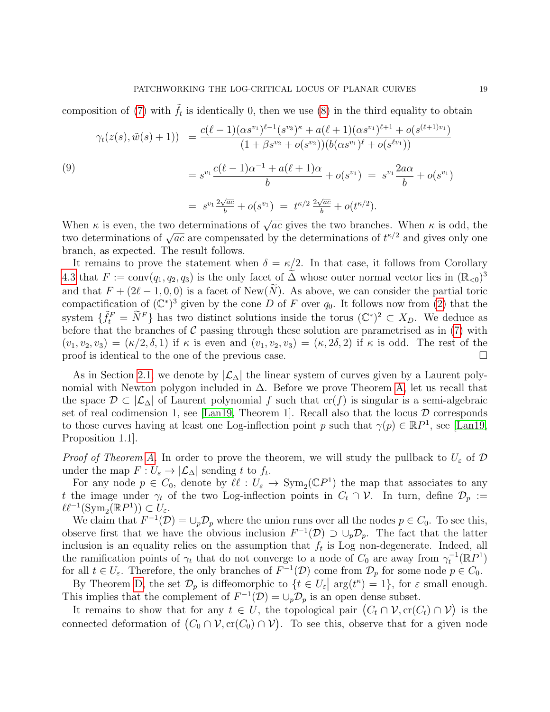composition of [\(7\)](#page-17-0) with  $\tilde{f}_t$  is identically 0, then we use [\(8\)](#page-17-1) in the third equality to obtain

<span id="page-18-0"></span>
$$
\gamma_t(z(s), \tilde{w}(s) + 1)) = \frac{c(\ell - 1)(\alpha s^{v_1})^{\ell - 1}(s^{v_3})^{\kappa} + a(\ell + 1)(\alpha s^{v_1})^{\ell + 1} + o(s^{(\ell + 1)v_1})}{(1 + \beta s^{v_2} + o(s^{v_2}))(b(\alpha s^{v_1})^{\ell} + o(s^{v_1}))}
$$
\n
$$
= s^{v_1} \frac{c(\ell - 1)\alpha^{-1} + a(\ell + 1)\alpha}{b} + o(s^{v_1}) = s^{v_1} \frac{2a\alpha}{b} + o(s^{v_1})
$$
\n
$$
= s^{v_1} \frac{2\sqrt{ac}}{b} + o(s^{v_1}) = t^{\kappa/2} \frac{2\sqrt{ac}}{b} + o(t^{\kappa/2}).
$$

When  $\kappa$  is even, the two determinations of  $\sqrt{ac}$  gives the two branches. When  $\kappa$  is odd, the when  $\kappa$  is even, the two determinations of  $\sqrt{ac}$  gives the two branches. When  $\kappa$  is odd, the two determinations of  $\sqrt{ac}$  are compensated by the determinations of  $t^{\kappa/2}$  and gives only one branch, as expected. The result follows.

It remains to prove the statement when  $\delta = \kappa/2$ . In that case, it follows from Corollary [4.3](#page-16-0) that  $F := \text{conv}(q_1, q_2, q_3)$  is the only facet of  $\widetilde{\Delta}$  whose outer normal vector lies in  $(\mathbb{R}_{<0})^3$ and that  $F + (2\ell - 1, 0, 0)$  is a facet of New(N). As above, we can consider the partial toric compactification of  $(\mathbb{C}^*)^3$  given by the cone D of F over  $q_0$ . It follows now from [\(2\)](#page-14-2) that the system  $\{\tilde{f}_t^F = \tilde{N}^F\}$  has two distinct solutions inside the torus  $(\mathbb{C}^*)^2 \subset X_D$ . We deduce as before that the branches of  $C$  passing through these solution are parametrised as in  $(7)$  with  $(v_1, v_2, v_3) = (\kappa/2, \delta, 1)$  if  $\kappa$  is even and  $(v_1, v_2, v_3) = (\kappa, 2\delta, 2)$  if  $\kappa$  is odd. The rest of the proof is identical to the one of the previous case.  $\Box$ 

As in Section [2.1,](#page-5-2) we denote by  $|\mathcal{L}_\Delta|$  the linear system of curves given by a Laurent polynomial with Newton polygon included in  $\Delta$ . Before we prove Theorem [A,](#page-10-0) let us recall that the space  $\mathcal{D} \subset |\mathcal{L}_{\Delta}|$  of Laurent polynomial f such that  $cr(f)$  is singular is a semi-algebraic set of real codimension 1, see [\[Lan19,](#page-29-1) Theorem 1]. Recall also that the locus  $\mathcal D$  corresponds to those curves having at least one Log-inflection point p such that  $\gamma(p) \in \mathbb{R}P^1$ , see [\[Lan19,](#page-29-1) Proposition 1.1].

*Proof of Theorem [A.](#page-10-0)* In order to prove the theorem, we will study the pullback to  $U_{\varepsilon}$  of  $\mathcal{D}$ under the map  $F: U_{\varepsilon} \to |\mathcal{L}_{\Delta}|$  sending t to  $f_t$ .

For any node  $p \in C_0$ , denote by  $\ell \ell : U_{\varepsilon} \to \text{Sym}_2(\mathbb{C}P^1)$  the map that associates to any t the image under  $\gamma_t$  of the two Log-inflection points in  $C_t \cap \mathcal{V}$ . In turn, define  $\mathcal{D}_p :=$  $\ell\ell^{-1}(\mathrm{Sym}_2(\mathbb{R}P^1)) \subset U_{\varepsilon}.$ 

We claim that  $F^{-1}(\mathcal{D}) = \bigcup_p \mathcal{D}_p$  where the union runs over all the nodes  $p \in C_0$ . To see this, observe first that we have the obvious inclusion  $F^{-1}(\mathcal{D}) \supset \cup_p \mathcal{D}_p$ . The fact that the latter inclusion is an equality relies on the assumption that  $f_t$  is Log non-degenerate. Indeed, all the ramification points of  $\gamma_t$  that do not converge to a node of  $C_0$  are away from  $\gamma_t^{-1}(\mathbb{R}P^1)$ for all  $t \in U_{\varepsilon}$ . Therefore, the only branches of  $F^{-1}(\mathcal{D})$  come from  $\mathcal{D}_p$  for some node  $p \in C_0$ .

By Theorem [D,](#page-11-0) the set  $\mathcal{D}_p$  is diffeomorphic to  $\{t \in U_\varepsilon \mid \arg(t^k) = 1\}$ , for  $\varepsilon$  small enough. This implies that the complement of  $F^{-1}(\mathcal{D}) = \bigcup_p \mathcal{D}_p$  is an open dense subset.

It remains to show that for any  $t \in U$ , the topological pair  $(C_t \cap V, cr(C_t) \cap V)$  is the connected deformation of  $(C_0 \cap V, cr(C_0) \cap V)$ . To see this, observe that for a given node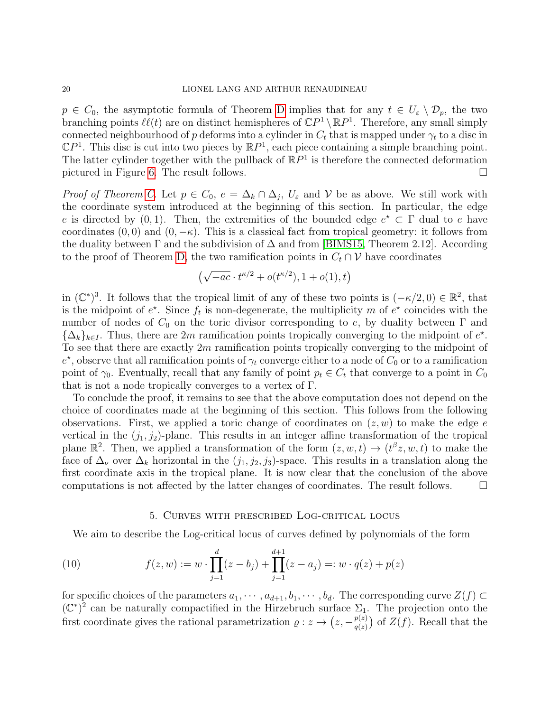$p \in C_0$ , the asymptotic formula of Theorem [D](#page-11-0) implies that for any  $t \in U_{\varepsilon} \setminus \mathcal{D}_p$ , the two branching points  $\ell\ell(t)$  are on distinct hemispheres of  $\mathbb{C}P^1 \setminus \mathbb{R}P^1$ . Therefore, any small simply connected neighbourhood of p deforms into a cylinder in  $C_t$  that is mapped under  $\gamma_t$  to a disc in  $\mathbb{C}P^1$ . This disc is cut into two pieces by  $\mathbb{R}P^1$ , each piece containing a simple branching point. The latter cylinder together with the pullback of  $\mathbb{R}P^1$  is therefore the connected deformation pictured in Figure [6.](#page-8-0) The result follows.

*Proof of Theorem [C.](#page-10-3)* Let  $p \in C_0$ ,  $e = \Delta_k \cap \Delta_j$ ,  $U_{\varepsilon}$  and  $\mathcal V$  be as above. We still work with the coordinate system introduced at the beginning of this section. In particular, the edge e is directed by  $(0, 1)$ . Then, the extremities of the bounded edge  $e^* \subset \Gamma$  dual to e have coordinates  $(0, 0)$  and  $(0, -\kappa)$ . This is a classical fact from tropical geometry: it follows from the duality between  $\Gamma$  and the subdivision of  $\Delta$  and from [\[BIMS15,](#page-29-11) Theorem 2.12]. According to the proof of Theorem [D,](#page-11-0) the two ramification points in  $C_t \cap \mathcal{V}$  have coordinates

$$
(\sqrt{-ac} \cdot t^{\kappa/2} + o(t^{\kappa/2}), 1 + o(1), t)
$$

in  $(\mathbb{C}^*)^3$ . It follows that the tropical limit of any of these two points is  $(-\kappa/2, 0) \in \mathbb{R}^2$ , that is the midpoint of  $e^*$ . Since  $f_t$  is non-degenerate, the multiplicity m of  $e^*$  coincides with the number of nodes of  $C_0$  on the toric divisor corresponding to e, by duality between  $\Gamma$  and  ${\{\Delta_k\}_{k\in I}}$ . Thus, there are 2m ramification points tropically converging to the midpoint of  $e^*$ . To see that there are exactly  $2m$  ramification points tropically converging to the midpoint of  $e^*$ , observe that all ramification points of  $\gamma_t$  converge either to a node of  $C_0$  or to a ramification point of  $\gamma_0$ . Eventually, recall that any family of point  $p_t \in C_t$  that converge to a point in  $C_0$ that is not a node tropically converges to a vertex of Γ.

To conclude the proof, it remains to see that the above computation does not depend on the choice of coordinates made at the beginning of this section. This follows from the following observations. First, we applied a toric change of coordinates on  $(z, w)$  to make the edge e vertical in the  $(j_1, j_2)$ -plane. This results in an integer affine transformation of the tropical plane  $\mathbb{R}^2$ . Then, we applied a transformation of the form  $(z, w, t) \mapsto (t^{\beta}z, w, t)$  to make the face of  $\Delta_{\nu}$  over  $\Delta_k$  horizontal in the  $(j_1, j_2, j_3)$ -space. This results in a translation along the first coordinate axis in the tropical plane. It is now clear that the conclusion of the above computations is not affected by the latter changes of coordinates. The result follows.  $\Box$ 

#### 5. Curves with prescribed Log-critical locus

<span id="page-19-0"></span>We aim to describe the Log-critical locus of curves defined by polynomials of the form

(10) 
$$
f(z, w) := w \cdot \prod_{j=1}^{d} (z - b_j) + \prod_{j=1}^{d+1} (z - a_j) =: w \cdot q(z) + p(z)
$$

for specific choices of the parameters  $a_1, \dots, a_{d+1}, b_1, \dots, b_d$ . The corresponding curve  $Z(f) \subset$  $(\mathbb{C}^*)^2$  can be naturally compactified in the Hirzebruch surface  $\Sigma_1$ . The projection onto the first coordinate gives the rational parametrization  $\rho: z \mapsto (z, -\frac{p(z)}{q(z)})$  $\frac{p(z)}{q(z)}$  of  $Z(f)$ . Recall that the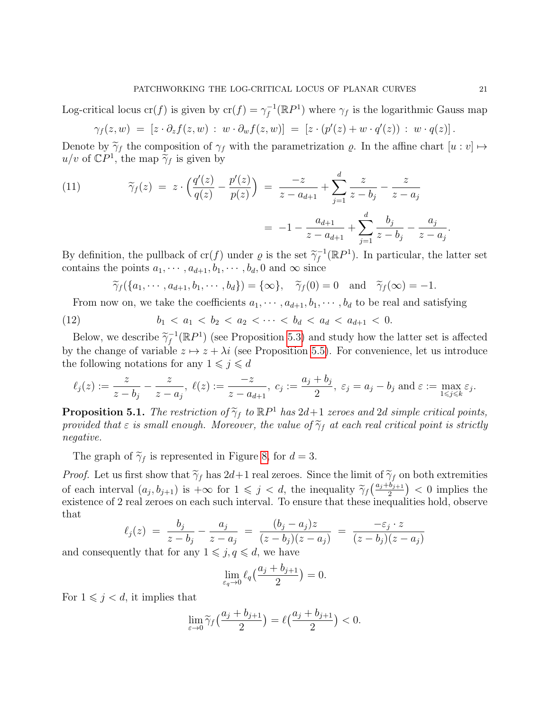Log-critical locus cr(f) is given by  $\operatorname{cr}(f) = \gamma_f^{-1}$  $f_f^{-1}(\mathbb{R}P^1)$  where  $\gamma_f$  is the logarithmic Gauss map

$$
\gamma_f(z,w) = [z \cdot \partial_z f(z,w) : w \cdot \partial_w f(z,w)] = [z \cdot (p'(z) + w \cdot q'(z)) : w \cdot q(z)].
$$

Denote by  $\tilde{\gamma}_f$  the composition of  $\gamma_f$  with the parametrization  $\varrho$ . In the affine chart  $[u : v] \mapsto$  $u/v$  of  $\mathbb{C}P^1$ , the map  $\tilde{\gamma}_f$  is given by

(11) 
$$
\widetilde{\gamma}_f(z) = z \cdot \left( \frac{q'(z)}{q(z)} - \frac{p'(z)}{p(z)} \right) = \frac{-z}{z - a_{d+1}} + \sum_{j=1}^d \frac{z}{z - b_j} - \frac{z}{z - a_j}
$$

$$
= -1 - \frac{a_{d+1}}{z - a_{d+1}} + \sum_{j=1}^d \frac{b_j}{z - b_j} - \frac{a_j}{z - a_j}.
$$

By definition, the pullback of cr(f) under  $\varrho$  is the set  $\widetilde{\gamma}_f^{-1}$  $f_f^{-1}(\mathbb{R}P^1)$ . In particular, the latter set contains the points  $a_1, \dots, a_{d+1}, b_1, \dots, b_d, 0$  and  $\infty$  since

<span id="page-20-0"></span>
$$
\widetilde{\gamma}_f(\{a_1,\dots,a_{d+1},b_1,\dots,b_d\})=\{\infty\},\quad \widetilde{\gamma}_f(0)=0\quad\text{and}\quad \widetilde{\gamma}_f(\infty)=-1.
$$

From now on, we take the coefficients  $a_1, \dots, a_{d+1}, b_1, \dots, b_d$  to be real and satisfying

(12) 
$$
b_1 < a_1 < b_2 < a_2 < \cdots < b_d < a_d < a_{d+1} < 0.
$$

Below, we describe  $\widetilde{\gamma}_f^{-1}$  $f_f^{-1}(\mathbb{R}P^1)$  (see Proposition [5.3\)](#page-22-0) and study how the latter set is affected by the change of variable  $z \mapsto z + \lambda i$  (see Proposition [5.5\)](#page-24-0). For convenience, let us introduce the following notations for any  $1 \leq j \leq d$ 

$$
\ell_j(z) := \frac{z}{z - b_j} - \frac{z}{z - a_j}, \; \ell(z) := \frac{-z}{z - a_{d+1}}, \; c_j := \frac{a_j + b_j}{2}, \; \varepsilon_j = a_j - b_j \text{ and } \varepsilon := \max_{1 \le j \le k} \varepsilon_j.
$$

<span id="page-20-1"></span>**Proposition 5.1.** The restriction of  $\tilde{\gamma}_f$  to  $\mathbb{R}P^1$  has  $2d+1$  zeroes and 2d simple critical points, provided that  $\varepsilon$  is small enough. Moreover, the value of  $\tilde{\gamma}_f$  at each real critical point is strictly provided that  $\varepsilon$  is small enough. Moreover, the value of  $\widetilde{\gamma}_f$  at each real critical point is strictly negative.

The graph of  $\tilde{\gamma}_f$  is represented in Figure [8,](#page-22-1) for  $d = 3$ .

*Proof.* Let us first show that  $\tilde{\gamma}_f$  has  $2d+1$  real zeroes. Since the limit of  $\tilde{\gamma}_f$  on both extremities of each interval  $(a_j, b_{j+1})$  is  $+\infty$  for  $1 \leq j < d$ , the inequality  $\tilde{\gamma}_f\left(\frac{a_j+b_{j+1}}{2}\right) < 0$  implies the existence of 2 real zeroes on each such interval. To ensure that these inequalities hold, observe that

$$
\ell_j(z) = \frac{b_j}{z - b_j} - \frac{a_j}{z - a_j} = \frac{(b_j - a_j)z}{(z - b_j)(z - a_j)} = \frac{-\varepsilon_j \cdot z}{(z - b_j)(z - a_j)}
$$

and consequently that for any  $1 \leq j, q \leq d$ , we have

$$
\lim_{\varepsilon_q \to 0} \ell_q\left(\frac{a_j + b_{j+1}}{2}\right) = 0.
$$

For  $1 \leq j < d$ , it implies that

$$
\lim_{\varepsilon \to 0} \widetilde{\gamma}_f\left(\frac{a_j + b_{j+1}}{2}\right) = \ell\left(\frac{a_j + b_{j+1}}{2}\right) < 0.
$$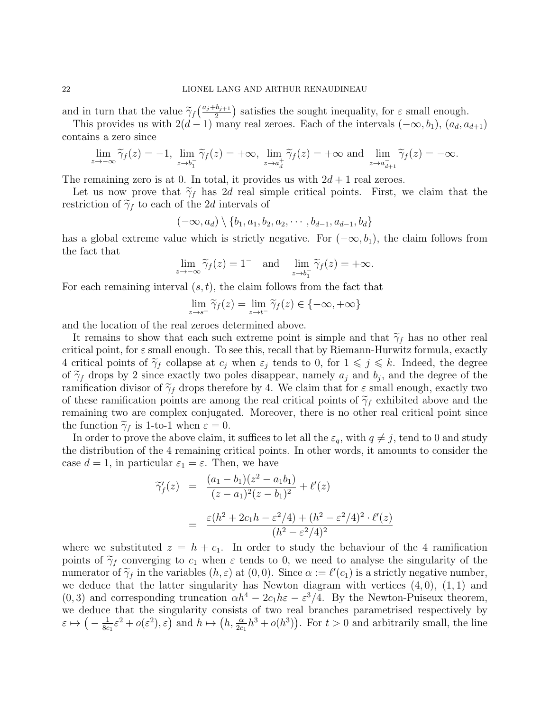and in turn that the value  $\tilde{\gamma}_f\left(\frac{a_j+b_{j+1}}{2}\right)$  satisfies the sought inequality, for  $\varepsilon$  small enough.<br>This provides us with  $2(d-1)$  many real zeroes. Each of the intervals  $(-\infty, b_1)$ ,  $(a_1, a_2)$ 

This provides us with  $2(d-1)$  many real zeroes. Each of the intervals  $(-\infty, b_1)$ ,  $(a_d, a_{d+1})$ contains a zero since

$$
\lim_{z \to -\infty} \widetilde{\gamma}_f(z) = -1, \lim_{z \to b_1^-} \widetilde{\gamma}_f(z) = +\infty, \lim_{z \to a_d^+} \widetilde{\gamma}_f(z) = +\infty \text{ and } \lim_{z \to a_{d+1}^-} \widetilde{\gamma}_f(z) = -\infty.
$$

The remaining zero is at 0. In total, it provides us with  $2d + 1$  real zeroes.

Let us now prove that  $\tilde{\gamma}_f$  has 2d real simple critical points. First, we claim that the restriction of  $\tilde{\gamma}_f$  to each of the 2d intervals of

$$
(-\infty, a_d) \setminus \{b_1, a_1, b_2, a_2, \cdots, b_{d-1}, a_{d-1}, b_d\}
$$

has a global extreme value which is strictly negative. For  $(-\infty, b_1)$ , the claim follows from the fact that

$$
\lim_{z \to -\infty} \widetilde{\gamma}_f(z) = 1^- \quad \text{and} \quad \lim_{z \to b_1^-} \widetilde{\gamma}_f(z) = +\infty.
$$

For each remaining interval  $(s, t)$ , the claim follows from the fact that

$$
\lim_{z \to s^+} \widetilde{\gamma}_f(z) = \lim_{z \to t^-} \widetilde{\gamma}_f(z) \in \{-\infty, +\infty\}
$$

and the location of the real zeroes determined above.

It remains to show that each such extreme point is simple and that  $\tilde{\gamma}_f$  has no other real critical point, for  $\varepsilon$  small enough. To see this, recall that by Riemann-Hurwitz formula, exactly 4 critical points of  $\tilde{\gamma}_f$  collapse at  $c_j$  when  $\varepsilon_j$  tends to 0, for  $1 \leq j \leq k$ . Indeed, the degree of  $\tilde{\gamma}_f$  drops by 2 since exactly two poles disappear, namely  $a_j$  and  $b_j$ , and the degree of the ramification divisor of  $\tilde{\gamma}_f$  drops therefore by 4. We claim that for s small enough, exactly two ramification divisor of  $\tilde{\gamma}_f$  drops therefore by 4. We claim that for  $\varepsilon$  small enough, exactly two of these ramification points are among the real critical points of  $\tilde{\gamma}_f$  exhibited above and the remaining two are complex conjugated. Moreover, there is no other real critical point since the function  $\tilde{\gamma}_f$  is 1-to-1 when  $\varepsilon = 0$ .

In order to prove the above claim, it suffices to let all the  $\varepsilon_q$ , with  $q \neq j$ , tend to 0 and study the distribution of the 4 remaining critical points. In other words, it amounts to consider the case  $d = 1$ , in particular  $\varepsilon_1 = \varepsilon$ . Then, we have

$$
\begin{array}{rcl}\n\widetilde{\gamma}'_f(z) &=& \frac{(a_1 - b_1)(z^2 - a_1 b_1)}{(z - a_1)^2 (z - b_1)^2} + \ell'(z) \\
&=& \frac{\varepsilon (h^2 + 2c_1 h - \varepsilon^2 / 4) + (h^2 - \varepsilon^2 / 4)^2 \cdot \ell'(z)}{(h^2 - \varepsilon^2 / 4)^2}\n\end{array}
$$

where we substituted  $z = h + c_1$ . In order to study the behaviour of the 4 ramification points of  $\tilde{\gamma}_f$  converging to  $c_1$  when  $\varepsilon$  tends to 0, we need to analyse the singularity of the numerator of  $\tilde{\gamma}_f$  in the variables  $(h, \varepsilon)$  at  $(0, 0)$ . Since  $\alpha := \ell'(c_1)$  is a strictly negative number,<br>we deduce that the latter singularity has Newton diagram with vertices  $(A, 0)$ ,  $(1, 1)$  and we deduce that the latter singularity has Newton diagram with vertices  $(4, 0)$ ,  $(1, 1)$  and  $(0, 3)$  and corresponding truncation  $\alpha h^4 - 2c_1h\varepsilon - \varepsilon^3/4$ . By the Newton-Puiseux theorem, we deduce that the singularity consists of two real branches parametrised respectively by  $\varepsilon \mapsto \big(-\frac{1}{8c}\big)$  $\frac{1}{8c_1} \varepsilon^2 + o(\varepsilon^2), \varepsilon$  and  $h \mapsto (h, \frac{\alpha}{2c_1} h^3 + o(h^3))$ . For  $t > 0$  and arbitrarily small, the line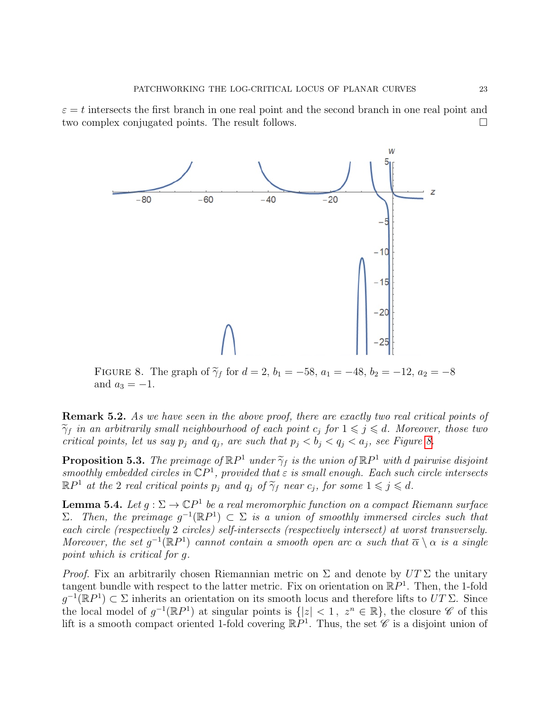<span id="page-22-1"></span> $\varepsilon = t$  intersects the first branch in one real point and the second branch in one real point and two complex conjugated points. The result follows.



FIGURE 8. The graph of  $\tilde{\gamma}_f$  for  $d = 2$ ,  $b_1 = -58$ ,  $a_1 = -48$ ,  $b_2 = -12$ ,  $a_2 = -8$ and  $a_3 = -1$ .

<span id="page-22-3"></span>**Remark 5.2.** As we have seen in the above proof, there are exactly two real critical points of  $\widetilde{\gamma}_f$  in an arbitrarily small neighbourhood of each point  $c_j$  for  $1 \leqslant j \leqslant d$ . Moreover, those two critical points, let us say  $p_j$  and  $q_j$ , are such that  $p_j < b_j < q_j < a_j$ , see Figure [8.](#page-22-1)

<span id="page-22-0"></span>**Proposition 5.3.** The preimage of  $\mathbb{R}P^1$  under  $\widetilde{\gamma}_f$  is the union of  $\mathbb{R}P^1$  with d pairwise disjoint smoothly embedded circles in  $\mathbb{C}P^1$  provided that  $\epsilon$  is small enough. Each such circle intersects smoothly embedded circles in  $\mathbb{C}P^1$ , provided that  $\varepsilon$  is small enough. Each such circle intersects  $\mathbb{R}P^1$  at the 2 real critical points  $p_j$  and  $q_j$  of  $\widetilde{\gamma}_f$  near  $c_j$ , for some  $1 \leqslant j \leqslant d$ .

<span id="page-22-2"></span>**Lemma 5.4.** Let  $g : \Sigma \to \mathbb{C}P^1$  be a real meromorphic function on a compact Riemann surface  $Σ.$  Then, the preimage  $g^{-1}(\mathbb{R}P^1) ⊂ Σ$  is a union of smoothly immersed circles such that each circle (respectively 2 circles) self-intersects (respectively intersect) at worst transversely. Moreover, the set  $g^{-1}(\mathbb{R}P^1)$  cannot contain a smooth open arc  $\alpha$  such that  $\overline{\alpha} \setminus \alpha$  is a single point which is critical for g.

*Proof.* Fix an arbitrarily chosen Riemannian metric on  $\Sigma$  and denote by  $UT \Sigma$  the unitary tangent bundle with respect to the latter metric. Fix on orientation on  $\mathbb{R}P^1$ . Then, the 1-fold  $g^{-1}(\mathbb{R}P^1) \subset \Sigma$  inherits an orientation on its smooth locus and therefore lifts to  $UT \Sigma$ . Since the local model of  $g^{-1}(\mathbb{R}P^1)$  at singular points is  $\{|z| < 1, z^n \in \mathbb{R}\}$ , the closure  $\mathscr{C}$  of this lift is a smooth compact oriented 1-fold covering  $\mathbb{R}P^1$ . Thus, the set  $\mathscr{C}$  is a disjoint union of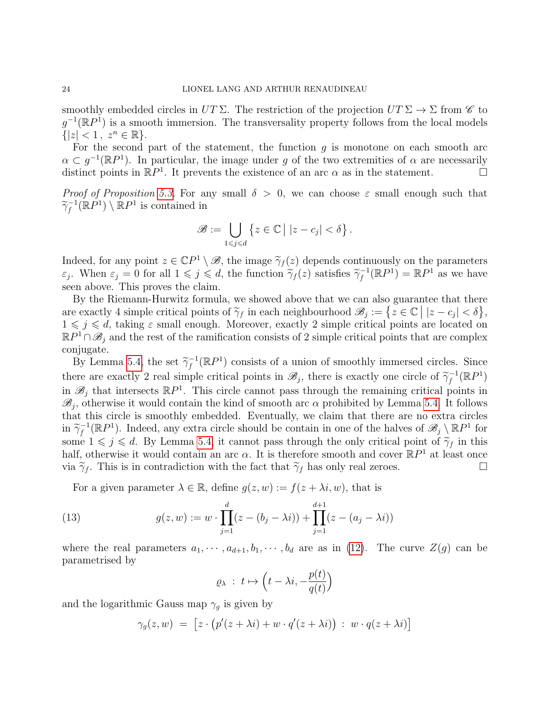smoothly embedded circles in  $UT \Sigma$ . The restriction of the projection  $UT \Sigma \rightarrow \Sigma$  from  $\mathscr{C}$  to  $g^{-1}(\mathbb{R}P^1)$  is a smooth immersion. The transversality property follows from the local models  ${|z| < 1, z^n \in \mathbb{R}|.$ 

For the second part of the statement, the function  $g$  is monotone on each smooth arc  $\alpha \subset g^{-1}(\mathbb{R}P^1)$ . In particular, the image under g of the two extremities of  $\alpha$  are necessarily distinct points in  $\mathbb{R}P^1$ . It prevents the existence of an arc  $\alpha$  as in the statement.

*Proof of Proposition [5.3.](#page-22-0)* For any small  $\delta > 0$ , we can choose  $\varepsilon$  small enough such that  $\widetilde{\gamma}_f^{-1}$  $f_f^{-1}(\mathbb{R}P) \setminus \mathbb{R}P^1$  is contained in

$$
\mathscr{B} := \bigcup_{1 \leq j \leq d} \left\{ z \in \mathbb{C} \mid |z - c_j| < \delta \right\}.
$$

Indeed, for any point  $z \in \mathbb{C}P^1 \setminus \mathcal{B}$ , the image  $\widetilde{\gamma}_f(z)$  depends continuously on the parameters  $\widetilde{\gamma}_f(z)$  when  $\widetilde{\gamma}_f(z)$  at  $\widetilde{\gamma}_f(z)$  satisfies  $\widetilde{\gamma}_f^{-1}(\mathbb{R}P^1) = \mathbb{R}P^1$  as we have  $\varepsilon_j$ . When  $\varepsilon_j = 0$  for all  $1 \leq j \leq d$ , the function  $\tilde{\gamma}_f(z)$  satisfies  $\tilde{\gamma}_f^{-1}$  $f_f^{-1}(\mathbb{R}P^1) = \mathbb{R}P^1$  as we have seen above. This proves the claim.

By the Riemann-Hurwitz formula, we showed above that we can also guarantee that there are exactly 4 simple critical points of  $\widetilde{\gamma}_f$  in each neighbourhood  $\mathscr{B}_j := \{ z \in \mathbb{C} \mid |z - c_j| < \delta \},$ <br> $1 \leq i \leq d$  taking  $\epsilon$  small enough. Moreover, exactly 2 simple critical points are located on  $1 \leq j \leq d$ , taking  $\varepsilon$  small enough. Moreover, exactly 2 simple critical points are located on  $\mathbb{R}P^1 \cap \mathscr{B}_j$  and the rest of the ramification consists of 2 simple critical points that are complex conjugate.

By Lemma [5.4,](#page-22-2) the set  $\widetilde{\gamma}_f^{-1}$  $f_f^{-1}(\mathbb{R}P^1)$  consists of a union of smoothly immersed circles. Since there are exactly 2 real simple critical points in  $\mathscr{B}_j$ , there is exactly one circle of  $\widetilde{\gamma}_f^{-1}$ <br>in  $\mathscr{B}_j$ , that intersects  $\mathbb{R}P^1$ . This simple connect ages through the remaining exities are  $f^{-1}(\mathbb{R}P^1)$ in  $\mathscr{B}_j$  that intersects  $\mathbb{R}P^1$ . This circle cannot pass through the remaining critical points in  $\mathscr{B}_j$ , otherwise it would contain the kind of smooth arc  $\alpha$  prohibited by Lemma [5.4.](#page-22-2) It follows that this circle is smoothly embedded. Eventually, we claim that there are no extra circles  $\sin \frac{\tilde{\gamma}_f^{-1}}{f}$  $f_f^{-1}(\mathbb{R}P^1)$ . Indeed, any extra circle should be contain in one of the halves of  $\mathscr{B}_j \setminus \mathbb{R}P^1$  for some  $1 \leq j \leq d$ . By Lemma [5.4,](#page-22-2) it cannot pass through the only critical point of  $\tilde{\gamma}_f$  in this half, otherwise it would contain an arc  $\alpha$ . It is therefore smooth and cover  $\mathbb{R}P^1$  at least once via  $\tilde{\gamma}_f$ . This is in contradiction with the fact that  $\tilde{\gamma}_f$  has only real zeroes.

For a given parameter  $\lambda \in \mathbb{R}$ , define  $g(z, w) := f(z + \lambda i, w)$ , that is

(13) 
$$
g(z, w) := w \cdot \prod_{j=1}^{d} (z - (b_j - \lambda i)) + \prod_{j=1}^{d+1} (z - (a_j - \lambda i))
$$

where the real parameters  $a_1, \dots, a_{d+1}, b_1, \dots, b_d$  are as in [\(12\)](#page-20-0). The curve  $Z(g)$  can be parametrised by

<span id="page-23-0"></span>
$$
\varrho_\lambda \; : \; t \mapsto \left( t - \lambda i, -\frac{p(t)}{q(t)} \right)
$$

and the logarithmic Gauss map  $\gamma_g$  is given by

$$
\gamma_g(z, w) = [z \cdot (p'(z + \lambda i) + w \cdot q'(z + \lambda i)) : w \cdot q(z + \lambda i)]
$$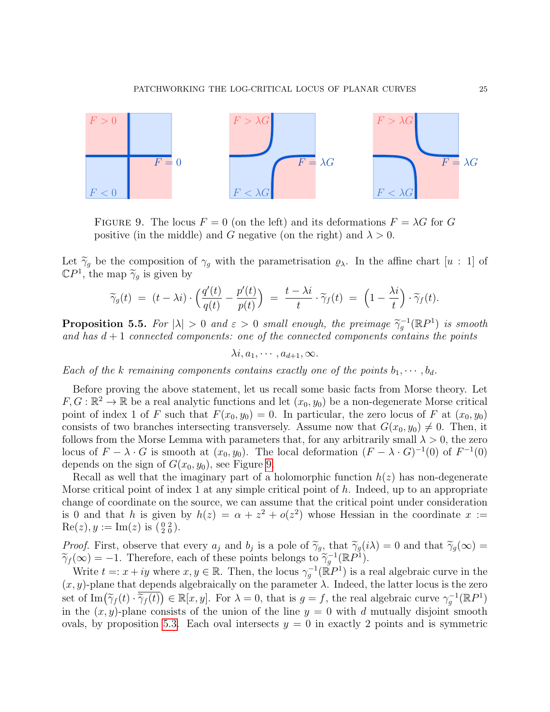<span id="page-24-1"></span>

FIGURE 9. The locus  $F = 0$  (on the left) and its deformations  $F = \lambda G$  for G positive (in the middle) and G negative (on the right) and  $\lambda > 0$ .

Let  $\tilde{\gamma}_g$  be the composition of  $\gamma_g$  with the parametrisation  $\varrho_\lambda$ . In the affine chart [u : 1] of  $\mathbb{C}P^1$ , the map  $\widetilde{\gamma}_g$  is given by

$$
\widetilde{\gamma}_g(t) = (t - \lambda i) \cdot \left( \frac{q'(t)}{q(t)} - \frac{p'(t)}{p(t)} \right) = \frac{t - \lambda i}{t} \cdot \widetilde{\gamma}_f(t) = \left( 1 - \frac{\lambda i}{t} \right) \cdot \widetilde{\gamma}_f(t).
$$

<span id="page-24-0"></span>**Proposition 5.5.** For  $|\lambda| > 0$  and  $\varepsilon > 0$  small enough, the preimage  $\widetilde{\gamma}_g^{-1}(\mathbb{R}P^1)$  is smooth and has  $d+1$  connected components; one of the connected components contains the points and has  $d+1$  connected components: one of the connected components contains the points

 $\lambda i, a_1, \cdots, a_{d+1}, \infty.$ 

Each of the k remaining components contains exactly one of the points  $b_1, \cdots, b_d$ .

Before proving the above statement, let us recall some basic facts from Morse theory. Let  $F, G: \mathbb{R}^2 \to \mathbb{R}$  be a real analytic functions and let  $(x_0, y_0)$  be a non-degenerate Morse critical point of index 1 of F such that  $F(x_0, y_0) = 0$ . In particular, the zero locus of F at  $(x_0, y_0)$ consists of two branches intersecting transversely. Assume now that  $G(x_0, y_0) \neq 0$ . Then, it follows from the Morse Lemma with parameters that, for any arbitrarily small  $\lambda > 0$ , the zero locus of  $F - \lambda \cdot G$  is smooth at  $(x_0, y_0)$ . The local deformation  $(F - \lambda \cdot G)^{-1}(0)$  of  $F^{-1}(0)$ depends on the sign of  $G(x_0, y_0)$ , see Figure [9.](#page-24-1)

Recall as well that the imaginary part of a holomorphic function  $h(z)$  has non-degenerate Morse critical point of index 1 at any simple critical point of  $h$ . Indeed, up to an appropriate change of coordinate on the source, we can assume that the critical point under consideration is 0 and that h is given by  $h(z) = \alpha + z^2 + o(z^2)$  whose Hessian in the coordinate  $x :=$  $\text{Re}(z), y := \text{Im}(z)$  is  $(\frac{0}{2} \frac{2}{0}).$ 

Proof. First, observe that every  $a_j$  and  $b_j$  is a pole of  $\tilde{\gamma}_g$ , that  $\tilde{\gamma}_g(i\lambda) = 0$  and that  $\tilde{\gamma}_g(\infty) =$ <br> $\tilde{\gamma}_g(\infty) = -1$ . Therefore, each of these points belongs to  $\tilde{\gamma}_g(i\lambda) = 0$  and that  $\tilde{\gamma}_g(\infty) =$  $\widetilde{\gamma}_f(\infty) = -1$ . Therefore, each of these points belongs to  $\widetilde{\gamma}_g^{-1}(\mathbb{R}P^1)$ .<br>Write  $f = g + i\omega$  where  $g \in \mathbb{R}$ . Then, the legue  $g^{-1}(\mathbb{R}P^1)$  is a

Write  $t =: x + iy$  where  $x, y \in \mathbb{R}$ . Then, the locus  $\gamma_g^{-1}(\mathbb{R}P^1)$  is a real algebraic curve in the  $(x, y)$ -plane that depends algebraically on the parameter  $\lambda$ . Indeed, the latter locus is the zero set of  $\text{Im}(\tilde{\gamma}_f(t) \cdot \overline{\tilde{\gamma}_f(t)}) \in \mathbb{R}[x, y]$ . For  $\lambda = 0$ , that is  $g = f$ , the real algebraic curve  $\gamma_g^{-1}(\mathbb{R}P^1)$ <br>in the  $(x, y)$  plane consists of the union of the line  $y = 0$  with d mutually disjoint smooth in the  $(x, y)$ -plane consists of the union of the line  $y = 0$  with d mutually disjoint smooth ovals, by proposition [5.3.](#page-22-0) Each oval intersects  $y = 0$  in exactly 2 points and is symmetric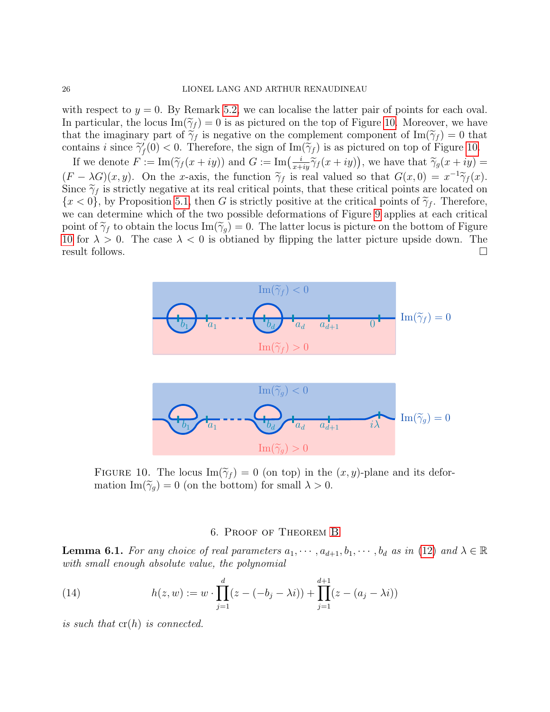with respect to  $y = 0$ . By Remark [5.2,](#page-22-3) we can localise the latter pair of points for each oval. In particular, the locus  $\text{Im}(\widetilde{\gamma}_f) = 0$  is as pictured on the top of Figure [10.](#page-25-1) Moreover, we have that the imaginary part of  $\tilde{\gamma}_f$  is negative on the complement component of  $\text{Im}(\tilde{\gamma}_f) = 0$  that contains *i* since  $\tilde{\gamma}'_f(0) < 0$ . Therefore, the sign of Im( $\tilde{\gamma}_f$ ) is as pictured on top of Figure [10.](#page-25-1)

If we denote  $F := \text{Im}(\tilde{\gamma}_f(x+iy))$  and  $G := \text{Im}\left(\frac{i}{x+iy}\tilde{\gamma}_f(x+iy)\right)$ , we have that  $\tilde{\gamma}_g(x+iy) =$  $(F - \lambda G)(x, y)$ . On the x-axis, the function  $\tilde{\gamma}_f$  is real valued so that  $G(x, 0) = x^{-1}\tilde{\gamma}_f(x)$ .<br>Since  $\tilde{\gamma}_f$  is strictly positive at its real critical points, that these critical points are located on Since  $\tilde{\gamma}_f$  is strictly negative at its real critical points, that these critical points are located on  ${x < 0}$ , by Proposition [5.1,](#page-20-1) then G is strictly positive at the critical points of  $\tilde{\gamma}_f$ . Therefore, we can determine which of the two possible deformations of Figure [9](#page-24-1) applies at each critical point of  $\tilde{\gamma}_f$  to obtain the locus Im( $\tilde{\gamma}_g$ ) = 0. The latter locus is picture on the bottom of Figure [10](#page-25-1) for  $\lambda > 0$ . The case  $\lambda < 0$  is obtianed by flipping the latter picture upside down. The result follows.  $\Box$ 

<span id="page-25-1"></span>

FIGURE 10. The locus  $\text{Im}(\widetilde{\gamma}_f) = 0$  (on top) in the  $(x, y)$ -plane and its deformation Im( $\widetilde{\gamma}_q$ ) = 0 (on the bottom) for small  $\lambda > 0$ .

## <span id="page-25-2"></span>6. Proof of Theorem [B](#page-10-1)

<span id="page-25-0"></span>**Lemma 6.1.** For any choice of real parameters  $a_1, \dots, a_{d+1}, b_1, \dots, b_d$  as in [\(12\)](#page-20-0) and  $\lambda \in \mathbb{R}$ with small enough absolute value, the polynomial

(14) 
$$
h(z, w) := w \cdot \prod_{j=1}^{d} (z - (-b_j - \lambda i)) + \prod_{j=1}^{d+1} (z - (a_j - \lambda i))
$$

is such that  $cr(h)$  is connected.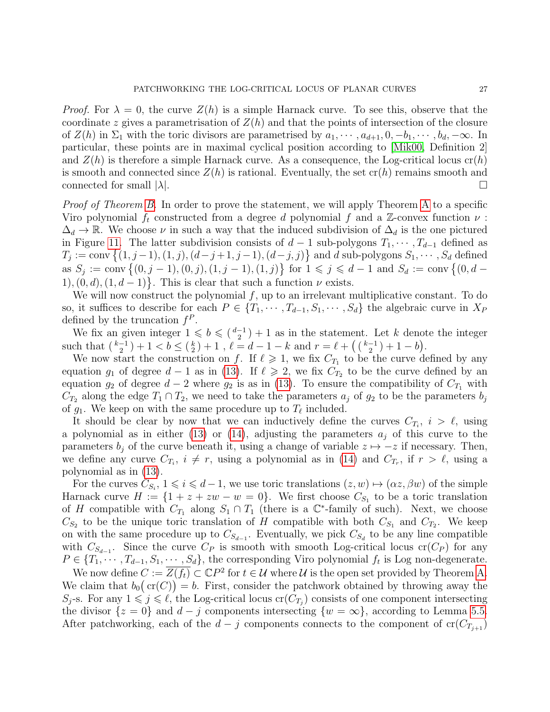*Proof.* For  $\lambda = 0$ , the curve  $Z(h)$  is a simple Harnack curve. To see this, observe that the coordinate z gives a parametrisation of  $Z(h)$  and that the points of intersection of the closure of  $Z(h)$  in  $\Sigma_1$  with the toric divisors are parametrised by  $a_1, \dots, a_{d+1}, 0, -b_1, \dots, b_d, -\infty$ . In particular, these points are in maximal cyclical position according to [\[Mik00,](#page-29-3) Definition 2] and  $Z(h)$  is therefore a simple Harnack curve. As a consequence, the Log-critical locus  $\text{cr}(h)$ is smooth and connected since  $Z(h)$  is rational. Eventually, the set  $cr(h)$  remains smooth and connected for small  $|\lambda|$ .

Proof of Theorem [B.](#page-10-1) In order to prove the statement, we will apply Theorem [A](#page-10-0) to a specific Viro polynomial  $f_t$  constructed from a degree d polynomial f and a Z-convex function  $\nu$ :  $\Delta_d \to \mathbb{R}$ . We choose  $\nu$  in such a way that the induced subdivision of  $\Delta_d$  is the one pictured in Figure [11.](#page-27-1) The latter subdivision consists of  $d-1$  sub-polygons  $T_1, \dots, T_{d-1}$  defined as  $T_j := \text{conv}\{(1, j-1), (1, j), (d-j+1, j-1), (d-j, j)\}\$ and d sub-polygons  $S_1, \dots, S_d$  defined as  $S_j := \text{conv} \{(0, j-1), (0, j), (1, j-1), (1, j)\}$  for  $1 \leq j \leq d-1$  and  $S_d := \text{conv} \{(0, d-1), (0, j), (1, j-1), (1, j)\}$ 1),  $(0, d)$ ,  $(1, d - 1)$ . This is clear that such a function  $\nu$  exists.

We will now construct the polynomial  $f$ , up to an irrelevant multiplicative constant. To do so, it suffices to describe for each  $P \in \{T_1, \dots, T_{d-1}, S_1, \dots, S_d\}$  the algebraic curve in  $X_P$ defined by the truncation  $f^P$ .

We fix an given integer  $1 \leqslant b \leqslant {\binom{d-1}{2}}+1$  as in the statement. Let k denote the integer such that  $\binom{k-1}{2} + 1 < b \leq \binom{k}{2} + 1$ ,  $\ell = d - 1 - k$  and  $r = \ell + \left(\binom{k-1}{2} + 1 - b\right)$ .

We now start the construction on f. If  $\ell \geq 1$ , we fix  $C_{T_1}$  to be the curve defined by any equation  $g_1$  of degree  $d-1$  as in [\(13\)](#page-23-0). If  $\ell \geqslant 2$ , we fix  $C_{T_2}$  to be the curve defined by an equation  $g_2$  of degree  $d-2$  where  $g_2$  is as in [\(13\)](#page-23-0). To ensure the compatibility of  $C_{T_1}$  with  $C_{T_2}$  along the edge  $T_1 \cap T_2$ , we need to take the parameters  $a_j$  of  $g_2$  to be the parameters  $b_j$ of  $g_1$ . We keep on with the same procedure up to  $T_\ell$  included.

It should be clear by now that we can inductively define the curves  $C_{T_i}$ ,  $i > \ell$ , using a polynomial as in either [\(13\)](#page-23-0) or [\(14\)](#page-25-2), adjusting the parameters  $a_j$  of this curve to the parameters  $b_i$  of the curve beneath it, using a change of variable  $z \mapsto -z$  if necessary. Then, we define any curve  $C_{T_i}$ ,  $i \neq r$ , using a polynomial as in [\(14\)](#page-25-2) and  $C_{T_r}$ , if  $r > \ell$ , using a polynomial as in [\(13\)](#page-23-0).

For the curves  $C_{S_i}$ ,  $1 \leq i \leq d-1$ , we use toric translations  $(z, w) \mapsto (\alpha z, \beta w)$  of the simple Harnack curve  $H := \{1 + z + zw - w = 0\}$ . We first choose  $C_{S_1}$  to be a toric translation of H compatible with  $C_{T_1}$  along  $S_1 \cap T_1$  (there is a  $\mathbb{C}^*$ -family of such). Next, we choose  $C_{S_2}$  to be the unique toric translation of H compatible with both  $C_{S_1}$  and  $C_{T_2}$ . We keep on with the same procedure up to  $C_{S_{d-1}}$ . Eventually, we pick  $C_{S_d}$  to be any line compatible with  $C_{S_{d-1}}$ . Since the curve  $C_P$  is smooth with smooth Log-critical locus cr( $C_P$ ) for any  $P \in \{T_1, \dots, T_{d-1}, S_1, \dots, S_d\}$ , the corresponding Viro polynomial  $f_t$  is Log non-degenerate.

We now define  $C := \overline{Z(f_t)} \subset \mathbb{C}P^2$  for  $t \in \mathcal{U}$  where  $\mathcal{U}$  is the open set provided by Theorem [A.](#page-10-0) We claim that  $b_0(\text{cr}(C)) = b$ . First, consider the patchwork obtained by throwing away the  $S_j$ -s. For any  $1 \leq j \leq \ell$ , the Log-critical locus  $cr(C_{T_j})$  consists of one component intersecting the divisor  $\{z = 0\}$  and  $d - j$  components intersecting  $\{w = \infty\}$ , according to Lemma [5.5.](#page-24-0) After patchworking, each of the  $d - j$  components connects to the component of  $cr(C_{T_{i+1}})$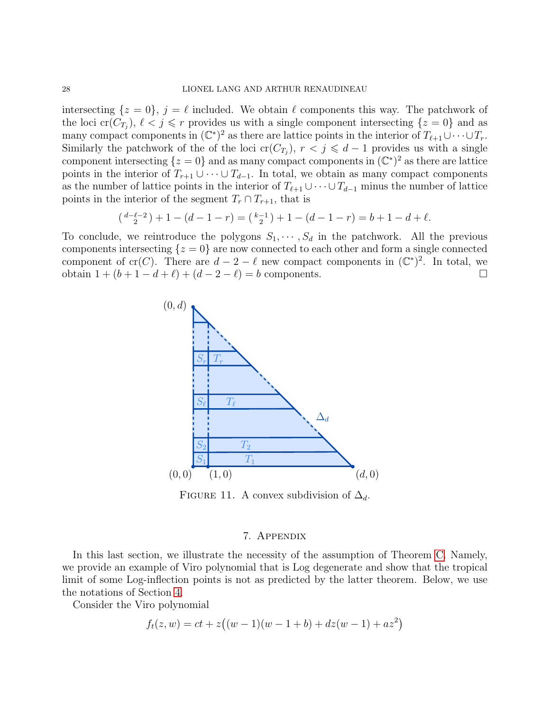intersecting  $\{z = 0\}, \, j = \ell$  included. We obtain  $\ell$  components this way. The patchwork of the loci  $\mathrm{cr}(C_{T_j})$ ,  $\ell < j \leq r$  provides us with a single component intersecting  $\{z=0\}$  and as many compact components in  $(\mathbb{C}^*)^2$  as there are lattice points in the interior of  $T_{\ell+1}\cup\cdots\cup T_r$ . Similarly the patchwork of the of the loci cr( $C_{T_j}$ ),  $r < j \leq d-1$  provides us with a single component intersecting  $\{z=0\}$  and as many compact components in  $(\mathbb{C}^*)^2$  as there are lattice points in the interior of  $T_{r+1} \cup \cdots \cup T_{d-1}$ . In total, we obtain as many compact components as the number of lattice points in the interior of  $T_{\ell+1} \cup \cdots \cup T_{d-1}$  minus the number of lattice points in the interior of the segment  $T_r \cap T_{r+1}$ , that is

$$
\left(\begin{array}{c}d-\ell-2\\2\end{array}\right)+1-(d-1-r)=\left(\begin{array}{c}k-1\\2\end{array}\right)+1-(d-1-r)=b+1-d+\ell.
$$

<span id="page-27-1"></span>To conclude, we reintroduce the polygons  $S_1, \dots, S_d$  in the patchwork. All the previous components intersecting  $\{z=0\}$  are now connected to each other and form a single connected component of cr(C). There are  $d - 2 - \ell$  new compact components in  $(\mathbb{C}^*)^2$ . In total, we obtain 1 +  $(b + 1 - d + \ell)$  +  $(d - 2 - \ell) = b$  components. □



FIGURE 11. A convex subdivision of  $\Delta_d$ .

#### 7. Appendix

<span id="page-27-0"></span>In this last section, we illustrate the necessity of the assumption of Theorem [C.](#page-10-3) Namely, we provide an example of Viro polynomial that is Log degenerate and show that the tropical limit of some Log-inflection points is not as predicted by the latter theorem. Below, we use the notations of Section [4.](#page-11-1)

Consider the Viro polynomial

$$
f_t(z, w) = ct + z((w - 1)(w - 1 + b) + dz(w - 1) + az^2)
$$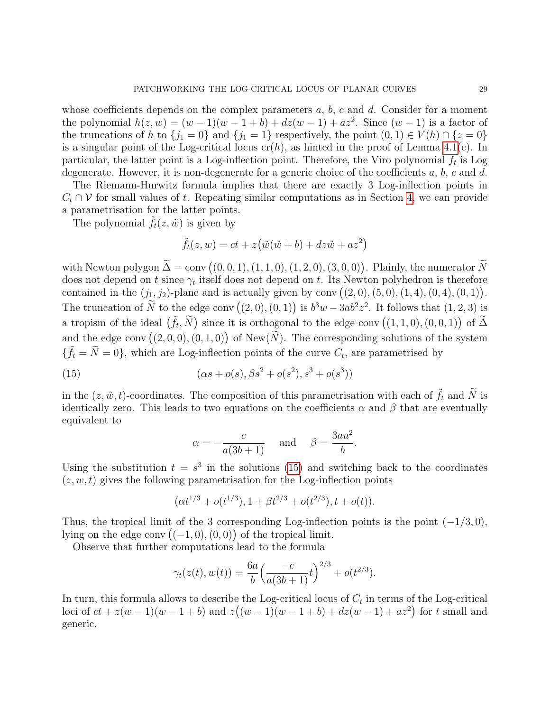whose coefficients depends on the complex parameters  $a, b, c$  and  $d$ . Consider for a moment the polynomial  $h(z, w) = (w - 1)(w - 1 + b) + dz(w - 1) + az^2$ . Since  $(w - 1)$  is a factor of the truncations of h to  $\{j_1 = 0\}$  and  $\{j_1 = 1\}$  respectively, the point  $(0, 1) \in V(h) \cap \{z = 0\}$ is a singular point of the Log-critical locus  $cr(h)$ , as hinted in the proof of Lemma [4.1\(](#page-12-0)c). In particular, the latter point is a Log-inflection point. Therefore, the Viro polynomial  $f_t$  is Log degenerate. However, it is non-degenerate for a generic choice of the coefficients  $a, b, c$  and  $d$ .

The Riemann-Hurwitz formula implies that there are exactly 3 Log-inflection points in  $C_t \cap V$  for small values of t. Repeating similar computations as in Section [4,](#page-11-1) we can provide a parametrisation for the latter points.

The polynomial  $\tilde{f}_t(z,\tilde{w})$  is given by

$$
\tilde{f}_t(z, w) = ct + z(\tilde{w}(\tilde{w} + b) + dz\tilde{w} + az^2)
$$

with Newton polygon  $\Delta = \text{conv}((0, 0, 1), (1, 1, 0), (1, 2, 0), (3, 0, 0))$ . Plainly, the numerator  $N$ does not depend on t since  $\gamma_t$  itself does not depend on t. Its Newton polyhedron is therefore contained in the  $(j_1, j_2)$ -plane and is actually given by conv  $((2, 0), (5, 0), (1, 4), (0, 4), (0, 1))$ . The truncation of  $\tilde{N}$  to the edge conv  $((2,0),(0,1))$  is  $b^3w - 3ab^2z^2$ . It follows that  $(1,2,3)$  is a tropism of the ideal  $(\tilde{f}_t, \tilde{N})$  since it is orthogonal to the edge conv  $((1, 1, 0), (0, 0, 1))$  of  $\tilde{\Delta}$ and the edge conv  $((2,0,0),(0,1,0))$  of New $(\tilde{N})$ . The corresponding solutions of the system  $\{\tilde{f}_t = \tilde{N} = 0\}$ , which are Log-inflection points of the curve  $C_t$ , are parametrised by

(15) 
$$
(\alpha s + o(s), \beta s^2 + o(s^2), s^3 + o(s^3))
$$

in the  $(z, \tilde{w}, t)$ -coordinates. The composition of this parametrisation with each of  $\tilde{f}_t$  and  $\tilde{N}$  is identically zero. This leads to two equations on the coefficients  $\alpha$  and  $\beta$  that are eventually equivalent to

<span id="page-28-0"></span>
$$
\alpha = -\frac{c}{a(3b+1)}
$$
 and  $\beta = \frac{3au^2}{b}$ .

Using the substitution  $t = s^3$  in the solutions [\(15\)](#page-28-0) and switching back to the coordinates  $(z, w, t)$  gives the following parametrisation for the Log-inflection points

$$
(\alpha t^{1/3} + o(t^{1/3}), 1 + \beta t^{2/3} + o(t^{2/3}), t + o(t)).
$$

Thus, the tropical limit of the 3 corresponding Log-inflection points is the point  $(-1/3, 0)$ , lying on the edge conv  $((-1,0),(0,0))$  of the tropical limit.

Observe that further computations lead to the formula

$$
\gamma_t(z(t), w(t)) = \frac{6a}{b} \left( \frac{-c}{a(3b+1)} t \right)^{2/3} + o(t^{2/3}).
$$

In turn, this formula allows to describe the Log-critical locus of  $C_t$  in terms of the Log-critical loci of  $ct + z(w - 1)(w - 1 + b)$  and  $z((w - 1)(w - 1 + b) + dz(w - 1) + az^2)$  for t small and generic.